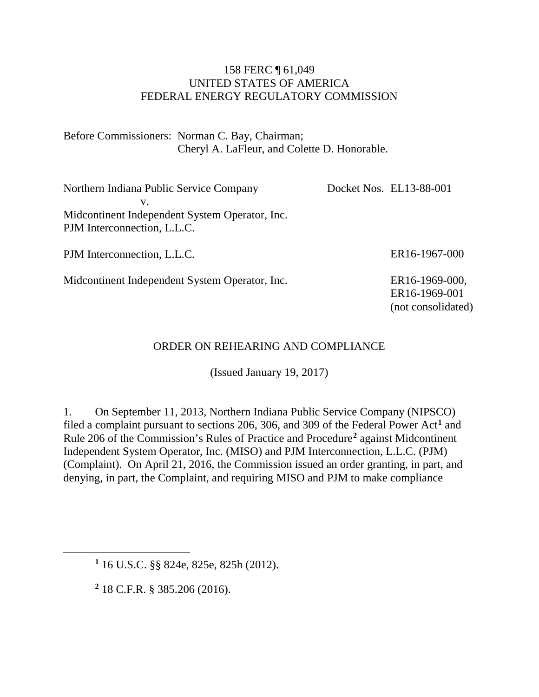#### 158 FERC ¶ 61,049 UNITED STATES OF AMERICA FEDERAL ENERGY REGULATORY COMMISSION

Before Commissioners: Norman C. Bay, Chairman; Cheryl A. LaFleur, and Colette D. Honorable.

Northern Indiana Public Service Company v. Midcontinent Independent System Operator, Inc. PJM Interconnection, L.L.C. Docket Nos. EL13-88-001

PJM Interconnection, L.L.C.

Midcontinent Independent System Operator, Inc.

ER16-1967-000

ER16-1969-000, ER16-1969-001 (not consolidated)

### ORDER ON REHEARING AND COMPLIANCE

(Issued January 19, 2017)

1. On September 11, 2013, Northern Indiana Public Service Company (NIPSCO) filed a complaint pursuant to sections 206, 306, and 309 of the Federal Power Act**[1](#page-0-0)** and Rule 206 of the Commission's Rules of Practice and Procedure**[2](#page-0-1)** against Midcontinent Independent System Operator, Inc. (MISO) and PJM Interconnection, L.L.C. (PJM) (Complaint). On April 21, 2016, the Commission issued an order granting, in part, and denying, in part, the Complaint, and requiring MISO and PJM to make compliance

**<sup>2</sup>** 18 C.F.R. § 385.206 (2016).

<span id="page-0-1"></span><span id="page-0-0"></span> $\overline{a}$ 

**<sup>1</sup>** 16 U.S.C. §§ 824e, 825e, 825h (2012).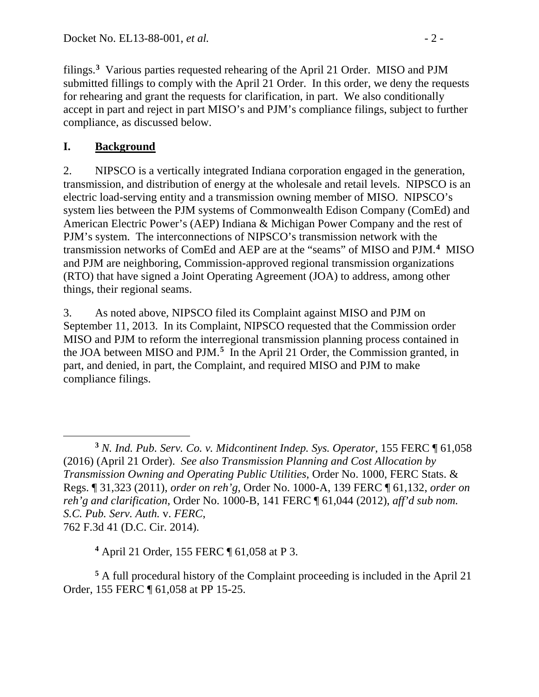filings.**[3](#page-1-0)** Various parties requested rehearing of the April 21 Order. MISO and PJM submitted fillings to comply with the April 21 Order. In this order, we deny the requests for rehearing and grant the requests for clarification, in part. We also conditionally accept in part and reject in part MISO's and PJM's compliance filings, subject to further compliance, as discussed below.

# **I. Background**

2. NIPSCO is a vertically integrated Indiana corporation engaged in the generation, transmission, and distribution of energy at the wholesale and retail levels. NIPSCO is an electric load-serving entity and a transmission owning member of MISO. NIPSCO's system lies between the PJM systems of Commonwealth Edison Company (ComEd) and American Electric Power's (AEP) Indiana & Michigan Power Company and the rest of PJM's system. The interconnections of NIPSCO's transmission network with the transmission networks of ComEd and AEP are at the "seams" of MISO and PJM.**[4](#page-1-1)** MISO and PJM are neighboring, Commission-approved regional transmission organizations (RTO) that have signed a Joint Operating Agreement (JOA) to address, among other things, their regional seams.

3. As noted above, NIPSCO filed its Complaint against MISO and PJM on September 11, 2013. In its Complaint, NIPSCO requested that the Commission order MISO and PJM to reform the interregional transmission planning process contained in the JOA between MISO and PJM. **[5](#page-1-2)** In the April 21 Order, the Commission granted, in part, and denied, in part, the Complaint, and required MISO and PJM to make compliance filings.

**<sup>4</sup>** April 21 Order, 155 FERC ¶ 61,058 at P 3.

<span id="page-1-2"></span><span id="page-1-1"></span>**<sup>5</sup>** A full procedural history of the Complaint proceeding is included in the April 21 Order, 155 FERC ¶ 61,058 at PP 15-25.

<span id="page-1-0"></span> $\overline{a}$ **<sup>3</sup>** *N. Ind. Pub. Serv. Co. v. Midcontinent Indep. Sys. Operator*, 155 FERC ¶ 61,058 (2016) (April 21 Order). *See also Transmission Planning and Cost Allocation by Transmission Owning and Operating Public Utilities*, Order No. 1000, FERC Stats. & Regs. ¶ 31,323 (2011), *order on reh'g*, Order No. 1000-A, 139 FERC ¶ 61,132, *order on reh'g and clarification*, Order No. 1000-B, 141 FERC ¶ 61,044 (2012), *aff'd sub nom. S.C. Pub. Serv. Auth.* v. *FERC*, 762 F.3d 41 (D.C. Cir. 2014).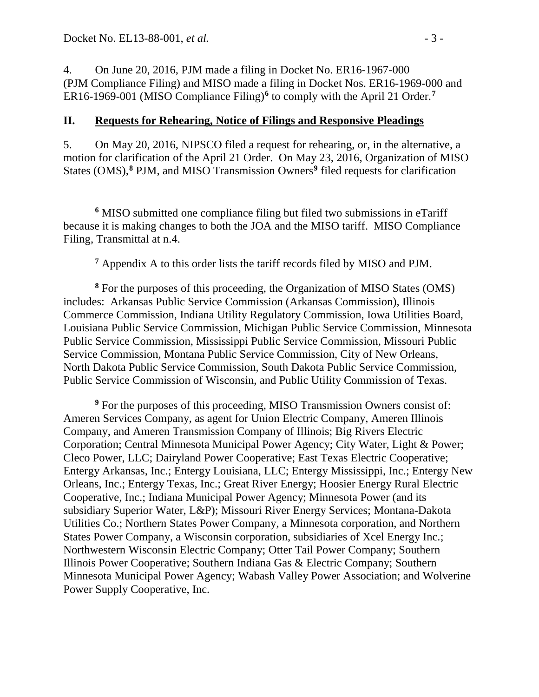4. On June 20, 2016, PJM made a filing in Docket No. ER16-1967-000 (PJM Compliance Filing) and MISO made a filing in Docket Nos. ER16-1969-000 and ER16-1969-001 (MISO Compliance Filing)**[6](#page-2-0)** to comply with the April 21 Order.**[7](#page-2-1)**

#### **II. Requests for Rehearing, Notice of Filings and Responsive Pleadings**

5. On May 20, 2016, NIPSCO filed a request for rehearing, or, in the alternative, a motion for clarification of the April 21 Order. On May 23, 2016, Organization of MISO States (OMS), **[8](#page-2-2)** PJM, and MISO Transmission Owners**[9](#page-2-3)** filed requests for clarification

**<sup>7</sup>** Appendix A to this order lists the tariff records filed by MISO and PJM.

<span id="page-2-2"></span><span id="page-2-1"></span>**<sup>8</sup>** For the purposes of this proceeding, the Organization of MISO States (OMS) includes: Arkansas Public Service Commission (Arkansas Commission), Illinois Commerce Commission, Indiana Utility Regulatory Commission, Iowa Utilities Board, Louisiana Public Service Commission, Michigan Public Service Commission, Minnesota Public Service Commission, Mississippi Public Service Commission, Missouri Public Service Commission, Montana Public Service Commission, City of New Orleans, North Dakota Public Service Commission, South Dakota Public Service Commission, Public Service Commission of Wisconsin, and Public Utility Commission of Texas.

<span id="page-2-3"></span>**<sup>9</sup>** For the purposes of this proceeding, MISO Transmission Owners consist of: Ameren Services Company, as agent for Union Electric Company, Ameren Illinois Company, and Ameren Transmission Company of Illinois; Big Rivers Electric Corporation; Central Minnesota Municipal Power Agency; City Water, Light & Power; Cleco Power, LLC; Dairyland Power Cooperative; East Texas Electric Cooperative; Entergy Arkansas, Inc.; Entergy Louisiana, LLC; Entergy Mississippi, Inc.; Entergy New Orleans, Inc.; Entergy Texas, Inc.; Great River Energy; Hoosier Energy Rural Electric Cooperative, Inc.; Indiana Municipal Power Agency; Minnesota Power (and its subsidiary Superior Water, L&P); Missouri River Energy Services; Montana-Dakota Utilities Co.; Northern States Power Company, a Minnesota corporation, and Northern States Power Company, a Wisconsin corporation, subsidiaries of Xcel Energy Inc.; Northwestern Wisconsin Electric Company; Otter Tail Power Company; Southern Illinois Power Cooperative; Southern Indiana Gas & Electric Company; Southern Minnesota Municipal Power Agency; Wabash Valley Power Association; and Wolverine Power Supply Cooperative, Inc.

<span id="page-2-0"></span> $\overline{a}$ **<sup>6</sup>** MISO submitted one compliance filing but filed two submissions in eTariff because it is making changes to both the JOA and the MISO tariff. MISO Compliance Filing, Transmittal at n.4.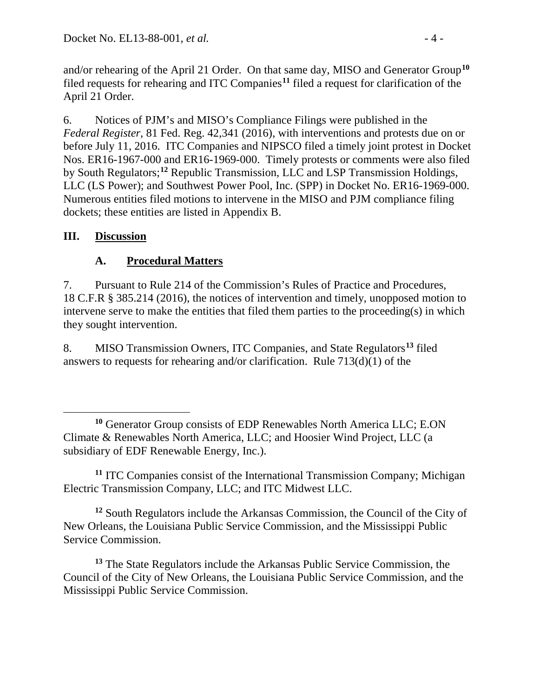and/or rehearing of the April 21 Order. On that same day, MISO and Generator Group**[10](#page-3-0)** filed requests for rehearing and ITC Companies**[11](#page-3-1)** filed a request for clarification of the April 21 Order.

6. Notices of PJM's and MISO's Compliance Filings were published in the *Federal Register*, 81 Fed. Reg. 42,341 (2016), with interventions and protests due on or before July 11, 2016. ITC Companies and NIPSCO filed a timely joint protest in Docket Nos. ER16-1967-000 and ER16-1969-000. Timely protests or comments were also filed by South Regulators; **[12](#page-3-2)** Republic Transmission, LLC and LSP Transmission Holdings, LLC (LS Power); and Southwest Power Pool, Inc. (SPP) in Docket No. ER16-1969-000. Numerous entities filed motions to intervene in the MISO and PJM compliance filing dockets; these entities are listed in Appendix B.

## **III. Discussion**

## **A. Procedural Matters**

7. Pursuant to Rule 214 of the Commission's Rules of Practice and Procedures, 18 C.F.R § 385.214 (2016), the notices of intervention and timely, unopposed motion to intervene serve to make the entities that filed them parties to the proceeding(s) in which they sought intervention.

8. MISO Transmission Owners, ITC Companies, and State Regulators**[13](#page-3-3)** filed answers to requests for rehearing and/or clarification. Rule 713(d)(1) of the

<span id="page-3-1"></span>**<sup>11</sup>** ITC Companies consist of the International Transmission Company; Michigan Electric Transmission Company, LLC; and ITC Midwest LLC.

<span id="page-3-2"></span>**<sup>12</sup>** South Regulators include the Arkansas Commission, the Council of the City of New Orleans, the Louisiana Public Service Commission, and the Mississippi Public Service Commission.

<span id="page-3-3"></span>**<sup>13</sup>** The State Regulators include the Arkansas Public Service Commission, the Council of the City of New Orleans, the Louisiana Public Service Commission, and the Mississippi Public Service Commission.

<span id="page-3-0"></span> $\overline{a}$ **<sup>10</sup>** Generator Group consists of EDP Renewables North America LLC; E.ON Climate & Renewables North America, LLC; and Hoosier Wind Project, LLC (a subsidiary of EDF Renewable Energy, Inc.).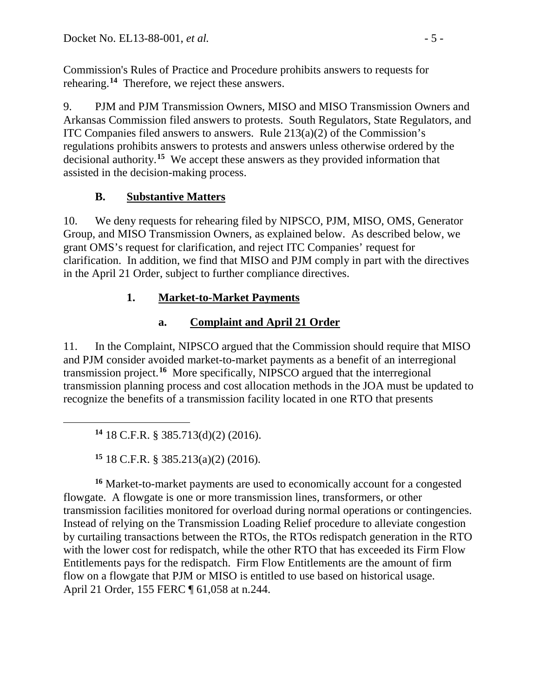Commission's Rules of Practice and Procedure prohibits answers to requests for rehearing.**[14](#page-4-0)** Therefore, we reject these answers.

9. PJM and PJM Transmission Owners, MISO and MISO Transmission Owners and Arkansas Commission filed answers to protests. South Regulators, State Regulators, and ITC Companies filed answers to answers. Rule 213(a)(2) of the Commission's regulations prohibits answers to protests and answers unless otherwise ordered by the decisional authority.**[15](#page-4-1)** We accept these answers as they provided information that assisted in the decision-making process.

# **B. Substantive Matters**

10. We deny requests for rehearing filed by NIPSCO, PJM, MISO, OMS, Generator Group, and MISO Transmission Owners, as explained below. As described below, we grant OMS's request for clarification, and reject ITC Companies' request for clarification. In addition, we find that MISO and PJM comply in part with the directives in the April 21 Order, subject to further compliance directives.

# **1. Market-to-Market Payments**

# **a. Complaint and April 21 Order**

11. In the Complaint, NIPSCO argued that the Commission should require that MISO and PJM consider avoided market-to-market payments as a benefit of an interregional transmission project.**[16](#page-4-2)** More specifically, NIPSCO argued that the interregional transmission planning process and cost allocation methods in the JOA must be updated to recognize the benefits of a transmission facility located in one RTO that presents

**<sup>14</sup>** 18 C.F.R. § 385.713(d)(2) (2016).

<span id="page-4-0"></span> $\overline{a}$ 

**<sup>15</sup>** 18 C.F.R. § 385.213(a)(2) (2016).

<span id="page-4-2"></span><span id="page-4-1"></span>**<sup>16</sup>** Market-to-market payments are used to economically account for a congested flowgate. A flowgate is one or more transmission lines, transformers, or other transmission facilities monitored for overload during normal operations or contingencies. Instead of relying on the Transmission Loading Relief procedure to alleviate congestion by curtailing transactions between the RTOs, the RTOs redispatch generation in the RTO with the lower cost for redispatch, while the other RTO that has exceeded its Firm Flow Entitlements pays for the redispatch. Firm Flow Entitlements are the amount of firm flow on a flowgate that PJM or MISO is entitled to use based on historical usage. April 21 Order, 155 FERC ¶ 61,058 at n.244.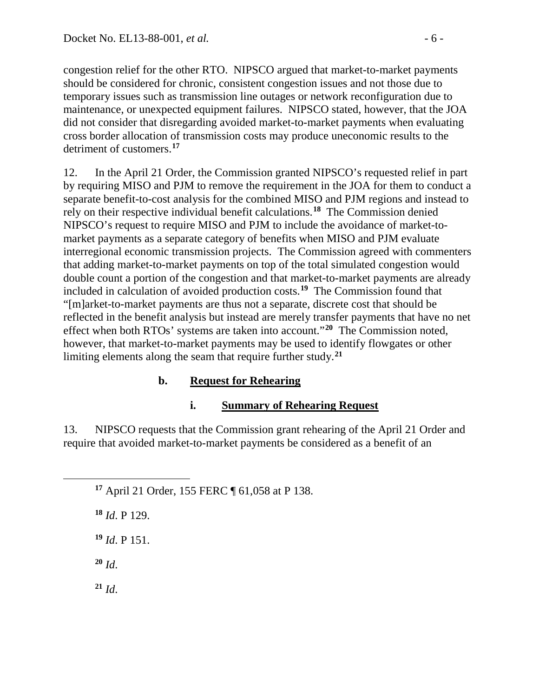congestion relief for the other RTO. NIPSCO argued that market-to-market payments should be considered for chronic, consistent congestion issues and not those due to temporary issues such as transmission line outages or network reconfiguration due to maintenance, or unexpected equipment failures. NIPSCO stated, however, that the JOA did not consider that disregarding avoided market-to-market payments when evaluating cross border allocation of transmission costs may produce uneconomic results to the detriment of customers.**[17](#page-5-0)**

12. In the April 21 Order, the Commission granted NIPSCO's requested relief in part by requiring MISO and PJM to remove the requirement in the JOA for them to conduct a separate benefit-to-cost analysis for the combined MISO and PJM regions and instead to rely on their respective individual benefit calculations.**[18](#page-5-1)** The Commission denied NIPSCO's request to require MISO and PJM to include the avoidance of market-tomarket payments as a separate category of benefits when MISO and PJM evaluate interregional economic transmission projects. The Commission agreed with commenters that adding market-to-market payments on top of the total simulated congestion would double count a portion of the congestion and that market-to-market payments are already included in calculation of avoided production costs. **[19](#page-5-2)** The Commission found that "[m]arket-to-market payments are thus not a separate, discrete cost that should be reflected in the benefit analysis but instead are merely transfer payments that have no net effect when both RTOs' systems are taken into account."**[20](#page-5-3)** The Commission noted, however, that market-to-market payments may be used to identify flowgates or other limiting elements along the seam that require further study.**[21](#page-5-4)**

## **b. Request for Rehearing**

## **i. Summary of Rehearing Request**

13. NIPSCO requests that the Commission grant rehearing of the April 21 Order and require that avoided market-to-market payments be considered as a benefit of an

**<sup>17</sup>** April 21 Order, 155 FERC ¶ 61,058 at P 138.

**<sup>18</sup>** *Id*. P 129.

**<sup>19</sup>** *Id*. P 151.

<span id="page-5-3"></span>**<sup>20</sup>** *Id*.

<span id="page-5-2"></span><span id="page-5-1"></span><span id="page-5-0"></span> $\overline{a}$ 

<span id="page-5-4"></span>**<sup>21</sup>** *Id*.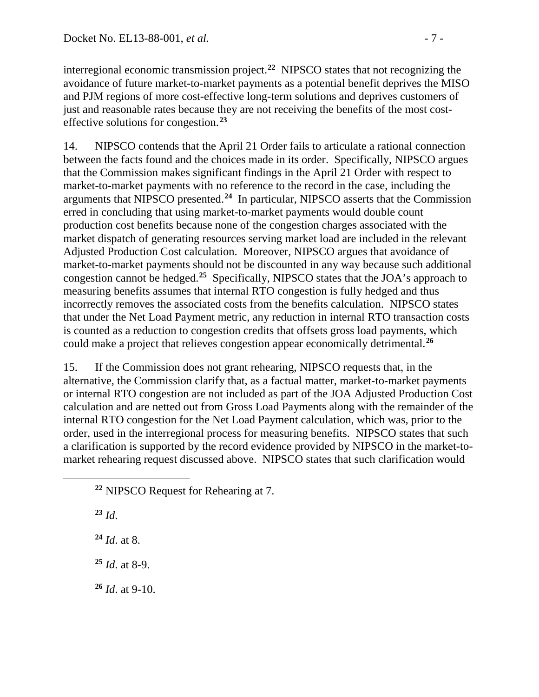interregional economic transmission project. **[22](#page-6-0)** NIPSCO states that not recognizing the avoidance of future market-to-market payments as a potential benefit deprives the MISO and PJM regions of more cost-effective long-term solutions and deprives customers of just and reasonable rates because they are not receiving the benefits of the most costeffective solutions for congestion.**[23](#page-6-1)**

14. NIPSCO contends that the April 21 Order fails to articulate a rational connection between the facts found and the choices made in its order. Specifically, NIPSCO argues that the Commission makes significant findings in the April 21 Order with respect to market-to-market payments with no reference to the record in the case, including the arguments that NIPSCO presented. **[24](#page-6-2)** In particular, NIPSCO asserts that the Commission erred in concluding that using market-to-market payments would double count production cost benefits because none of the congestion charges associated with the market dispatch of generating resources serving market load are included in the relevant Adjusted Production Cost calculation. Moreover, NIPSCO argues that avoidance of market-to-market payments should not be discounted in any way because such additional congestion cannot be hedged.**[25](#page-6-3)** Specifically, NIPSCO states that the JOA's approach to measuring benefits assumes that internal RTO congestion is fully hedged and thus incorrectly removes the associated costs from the benefits calculation. NIPSCO states that under the Net Load Payment metric, any reduction in internal RTO transaction costs is counted as a reduction to congestion credits that offsets gross load payments, which could make a project that relieves congestion appear economically detrimental.**[26](#page-6-4)**

15. If the Commission does not grant rehearing, NIPSCO requests that, in the alternative, the Commission clarify that, as a factual matter, market-to-market payments or internal RTO congestion are not included as part of the JOA Adjusted Production Cost calculation and are netted out from Gross Load Payments along with the remainder of the internal RTO congestion for the Net Load Payment calculation, which was, prior to the order, used in the interregional process for measuring benefits. NIPSCO states that such a clarification is supported by the record evidence provided by NIPSCO in the market-tomarket rehearing request discussed above. NIPSCO states that such clarification would

**<sup>23</sup>** *Id*.

<span id="page-6-2"></span><span id="page-6-1"></span><span id="page-6-0"></span> $\overline{a}$ 

**<sup>24</sup>** *Id*. at 8.

<span id="page-6-3"></span>**<sup>25</sup>** *Id*. at 8-9.

<span id="page-6-4"></span>**<sup>26</sup>** *Id*. at 9-10.

**<sup>22</sup>** NIPSCO Request for Rehearing at 7.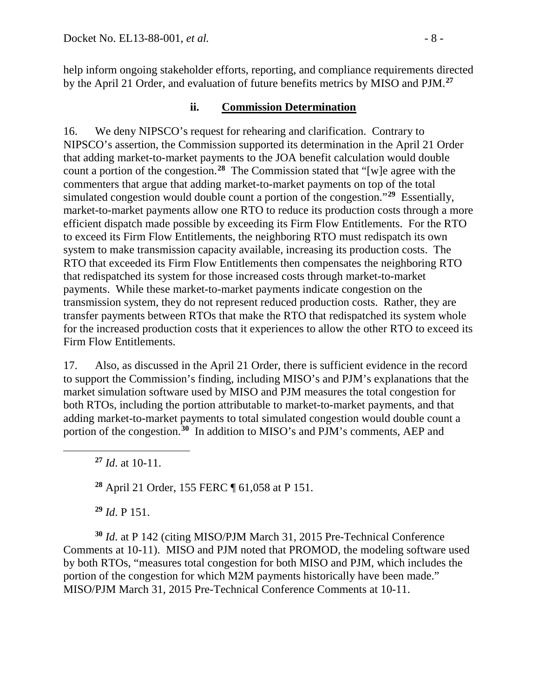help inform ongoing stakeholder efforts, reporting, and compliance requirements directed by the April 21 Order, and evaluation of future benefits metrics by MISO and PJM. **[27](#page-7-0)**

### **ii. Commission Determination**

16. We deny NIPSCO's request for rehearing and clarification. Contrary to NIPSCO's assertion, the Commission supported its determination in the April 21 Order that adding market-to-market payments to the JOA benefit calculation would double count a portion of the congestion.**[28](#page-7-1)** The Commission stated that "[w]e agree with the commenters that argue that adding market-to-market payments on top of the total simulated congestion would double count a portion of the congestion."**[29](#page-7-2)** Essentially, market-to-market payments allow one RTO to reduce its production costs through a more efficient dispatch made possible by exceeding its Firm Flow Entitlements. For the RTO to exceed its Firm Flow Entitlements, the neighboring RTO must redispatch its own system to make transmission capacity available, increasing its production costs. The RTO that exceeded its Firm Flow Entitlements then compensates the neighboring RTO that redispatched its system for those increased costs through market-to-market payments. While these market-to-market payments indicate congestion on the transmission system, they do not represent reduced production costs. Rather, they are transfer payments between RTOs that make the RTO that redispatched its system whole for the increased production costs that it experiences to allow the other RTO to exceed its Firm Flow Entitlements.

17. Also, as discussed in the April 21 Order, there is sufficient evidence in the record to support the Commission's finding, including MISO's and PJM's explanations that the market simulation software used by MISO and PJM measures the total congestion for both RTOs, including the portion attributable to market-to-market payments, and that adding market-to-market payments to total simulated congestion would double count a portion of the congestion.<sup>[30](#page-7-3)</sup> In addition to MISO's and PJM's comments, AEP and

**<sup>27</sup>** *Id*. at 10-11.

<span id="page-7-1"></span><span id="page-7-0"></span> $\overline{a}$ 

**<sup>28</sup>** April 21 Order, 155 FERC ¶ 61,058 at P 151.

**<sup>29</sup>** *Id*. P 151.

<span id="page-7-3"></span><span id="page-7-2"></span>**<sup>30</sup>** *Id*. at P 142 (citing MISO/PJM March 31, 2015 Pre-Technical Conference Comments at 10-11). MISO and PJM noted that PROMOD, the modeling software used by both RTOs, "measures total congestion for both MISO and PJM, which includes the portion of the congestion for which M2M payments historically have been made." MISO/PJM March 31, 2015 Pre-Technical Conference Comments at 10-11.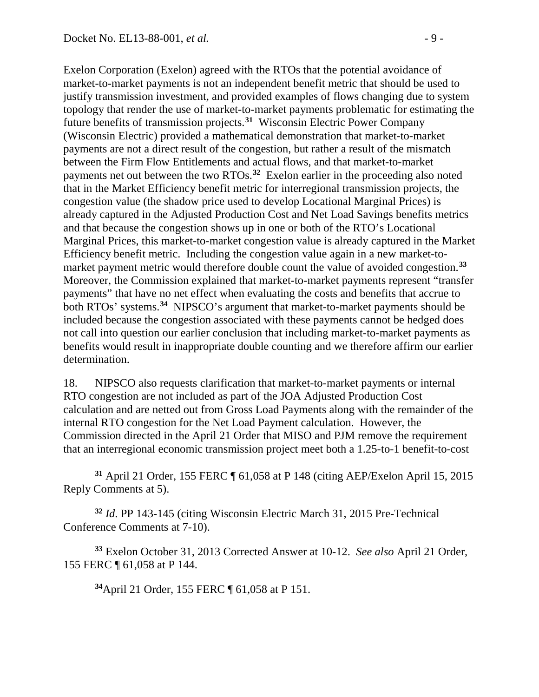$\overline{a}$ 

Exelon Corporation (Exelon) agreed with the RTOs that the potential avoidance of market-to-market payments is not an independent benefit metric that should be used to justify transmission investment, and provided examples of flows changing due to system topology that render the use of market-to-market payments problematic for estimating the future benefits of transmission projects.**[31](#page-8-0)** Wisconsin Electric Power Company (Wisconsin Electric) provided a mathematical demonstration that market-to-market payments are not a direct result of the congestion, but rather a result of the mismatch between the Firm Flow Entitlements and actual flows, and that market-to-market payments net out between the two RTOs. **[32](#page-8-1)** Exelon earlier in the proceeding also noted that in the Market Efficiency benefit metric for interregional transmission projects, the congestion value (the shadow price used to develop Locational Marginal Prices) is already captured in the Adjusted Production Cost and Net Load Savings benefits metrics and that because the congestion shows up in one or both of the RTO's Locational Marginal Prices, this market-to-market congestion value is already captured in the Market Efficiency benefit metric. Including the congestion value again in a new market-tomarket payment metric would therefore double count the value of avoided congestion.**[33](#page-8-2)** Moreover, the Commission explained that market-to-market payments represent "transfer payments" that have no net effect when evaluating the costs and benefits that accrue to both RTOs' systems. **[34](#page-8-3)** NIPSCO's argument that market-to-market payments should be included because the congestion associated with these payments cannot be hedged does not call into question our earlier conclusion that including market-to-market payments as benefits would result in inappropriate double counting and we therefore affirm our earlier determination.

18. NIPSCO also requests clarification that market-to-market payments or internal RTO congestion are not included as part of the JOA Adjusted Production Cost calculation and are netted out from Gross Load Payments along with the remainder of the internal RTO congestion for the Net Load Payment calculation. However, the Commission directed in the April 21 Order that MISO and PJM remove the requirement that an interregional economic transmission project meet both a 1.25-to-1 benefit-to-cost

<span id="page-8-0"></span>**<sup>31</sup>** April 21 Order, 155 FERC ¶ 61,058 at P 148 (citing AEP/Exelon April 15, 2015 Reply Comments at 5).

<span id="page-8-1"></span>**<sup>32</sup>** *Id*. PP 143-145 (citing Wisconsin Electric March 31, 2015 Pre-Technical Conference Comments at 7-10).

<span id="page-8-3"></span><span id="page-8-2"></span>**<sup>33</sup>** Exelon October 31, 2013 Corrected Answer at 10-12. *See also* April 21 Order, 155 FERC ¶ 61,058 at P 144.

**34**April 21 Order, 155 FERC ¶ 61,058 at P 151.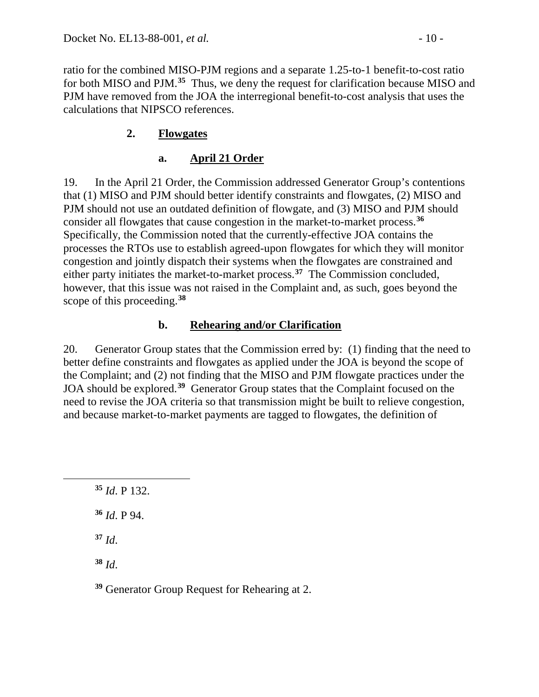ratio for the combined MISO-PJM regions and a separate 1.25-to-1 benefit-to-cost ratio for both MISO and PJM.**[35](#page-9-0)** Thus, we deny the request for clarification because MISO and PJM have removed from the JOA the interregional benefit-to-cost analysis that uses the calculations that NIPSCO references.

# **2. Flowgates**

# **a. April 21 Order**

19. In the April 21 Order, the Commission addressed Generator Group's contentions that (1) MISO and PJM should better identify constraints and flowgates, (2) MISO and PJM should not use an outdated definition of flowgate, and (3) MISO and PJM should consider all flowgates that cause congestion in the market-to-market process.**[36](#page-9-1)** Specifically, the Commission noted that the currently-effective JOA contains the processes the RTOs use to establish agreed-upon flowgates for which they will monitor congestion and jointly dispatch their systems when the flowgates are constrained and either party initiates the market-to-market process.**[37](#page-9-2)** The Commission concluded, however, that this issue was not raised in the Complaint and, as such, goes beyond the scope of this proceeding. **[38](#page-9-3)**

## **b. Rehearing and/or Clarification**

20. Generator Group states that the Commission erred by: (1) finding that the need to better define constraints and flowgates as applied under the JOA is beyond the scope of the Complaint; and (2) not finding that the MISO and PJM flowgate practices under the JOA should be explored.**[39](#page-9-4)** Generator Group states that the Complaint focused on the need to revise the JOA criteria so that transmission might be built to relieve congestion, and because market-to-market payments are tagged to flowgates, the definition of

**<sup>36</sup>** *Id*. P 94.

**<sup>37</sup>** *Id*.

<span id="page-9-2"></span><span id="page-9-1"></span><span id="page-9-0"></span> $\overline{a}$ 

<span id="page-9-3"></span>**<sup>38</sup>** *Id*.

<span id="page-9-4"></span>**<sup>39</sup>** Generator Group Request for Rehearing at 2.

**<sup>35</sup>** *Id*. P 132.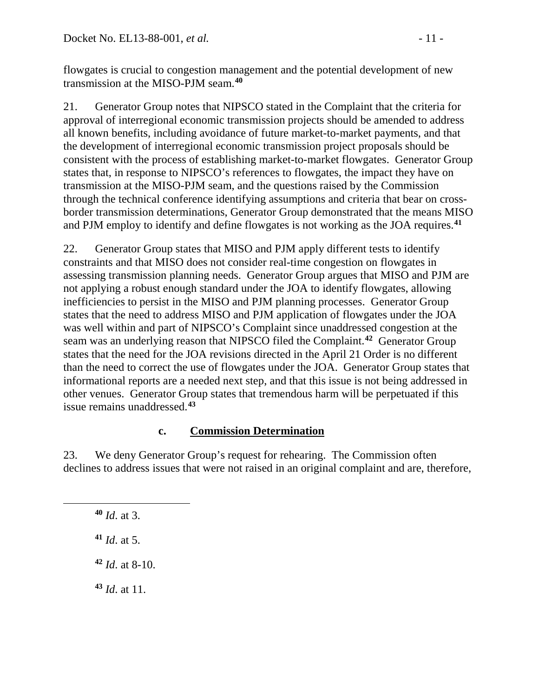flowgates is crucial to congestion management and the potential development of new transmission at the MISO-PJM seam.**[40](#page-10-0)**

21. Generator Group notes that NIPSCO stated in the Complaint that the criteria for approval of interregional economic transmission projects should be amended to address all known benefits, including avoidance of future market-to-market payments, and that the development of interregional economic transmission project proposals should be consistent with the process of establishing market-to-market flowgates. Generator Group states that, in response to NIPSCO's references to flowgates, the impact they have on transmission at the MISO-PJM seam, and the questions raised by the Commission through the technical conference identifying assumptions and criteria that bear on crossborder transmission determinations, Generator Group demonstrated that the means MISO and PJM employ to identify and define flowgates is not working as the JOA requires.**[41](#page-10-1)**

22. Generator Group states that MISO and PJM apply different tests to identify constraints and that MISO does not consider real-time congestion on flowgates in assessing transmission planning needs. Generator Group argues that MISO and PJM are not applying a robust enough standard under the JOA to identify flowgates, allowing inefficiencies to persist in the MISO and PJM planning processes. Generator Group states that the need to address MISO and PJM application of flowgates under the JOA was well within and part of NIPSCO's Complaint since unaddressed congestion at the seam was an underlying reason that NIPSCO filed the Complaint.**[42](#page-10-2)** Generator Group states that the need for the JOA revisions directed in the April 21 Order is no different than the need to correct the use of flowgates under the JOA. Generator Group states that informational reports are a needed next step, and that this issue is not being addressed in other venues. Generator Group states that tremendous harm will be perpetuated if this issue remains unaddressed.**[43](#page-10-3)**

## **c. Commission Determination**

23. We deny Generator Group's request for rehearing. The Commission often declines to address issues that were not raised in an original complaint and are, therefore,

<span id="page-10-2"></span><span id="page-10-1"></span><span id="page-10-0"></span> $\overline{a}$ 

**<sup>41</sup>** *Id*. at 5.

**<sup>42</sup>** *Id*. at 8-10.

<span id="page-10-3"></span>**<sup>43</sup>** *Id*. at 11.

**<sup>40</sup>** *Id*. at 3.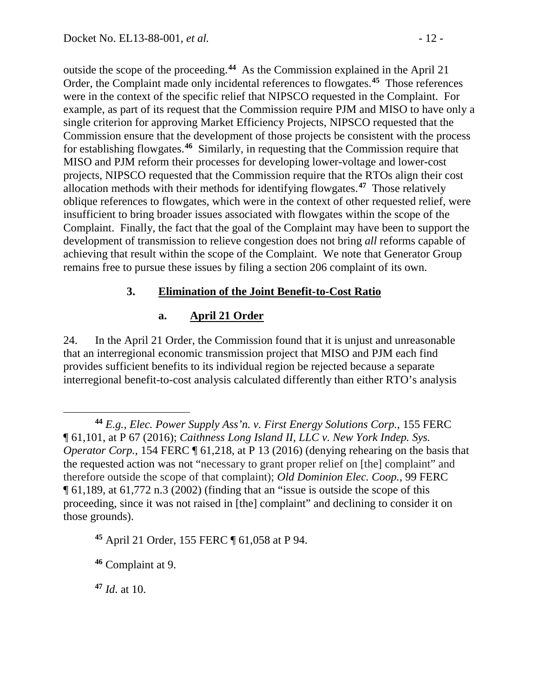outside the scope of the proceeding.**[44](#page-11-0)** As the Commission explained in the April 21 Order, the Complaint made only incidental references to flowgates.**[45](#page-11-1)** Those references were in the context of the specific relief that NIPSCO requested in the Complaint. For example, as part of its request that the Commission require PJM and MISO to have only a single criterion for approving Market Efficiency Projects, NIPSCO requested that the Commission ensure that the development of those projects be consistent with the process for establishing flowgates.**[46](#page-11-2)** Similarly, in requesting that the Commission require that MISO and PJM reform their processes for developing lower-voltage and lower-cost projects, NIPSCO requested that the Commission require that the RTOs align their cost allocation methods with their methods for identifying flowgates.**[47](#page-11-3)** Those relatively oblique references to flowgates, which were in the context of other requested relief, were insufficient to bring broader issues associated with flowgates within the scope of the Complaint. Finally, the fact that the goal of the Complaint may have been to support the development of transmission to relieve congestion does not bring *all* reforms capable of achieving that result within the scope of the Complaint. We note that Generator Group remains free to pursue these issues by filing a section 206 complaint of its own.

## **3. Elimination of the Joint Benefit-to-Cost Ratio**

## **a. April 21 Order**

24. In the April 21 Order, the Commission found that it is unjust and unreasonable that an interregional economic transmission project that MISO and PJM each find provides sufficient benefits to its individual region be rejected because a separate interregional benefit-to-cost analysis calculated differently than either RTO's analysis

<span id="page-11-3"></span>**<sup>47</sup>** *Id*. at 10.

<span id="page-11-0"></span> $\overline{a}$ **<sup>44</sup>** *E.g.*, *Elec. Power Supply Ass'n. v. First Energy Solutions Corp.*, 155 FERC ¶ 61,101, at P 67 (2016); *Caithness Long Island II, LLC v. New York Indep. Sys. Operator Corp.*, 154 FERC  $\P$  61,218, at P 13 (2016) (denying rehearing on the basis that the requested action was not "necessary to grant proper relief on [the] complaint" and therefore outside the scope of that complaint); *Old Dominion Elec. Coop.*, 99 FERC ¶ 61,189, at 61,772 n.3 (2002) (finding that an "issue is outside the scope of this proceeding, since it was not raised in [the] complaint" and declining to consider it on those grounds).

<span id="page-11-1"></span>**<sup>45</sup>** April 21 Order, 155 FERC ¶ 61,058 at P 94.

<span id="page-11-2"></span>**<sup>46</sup>** Complaint at 9.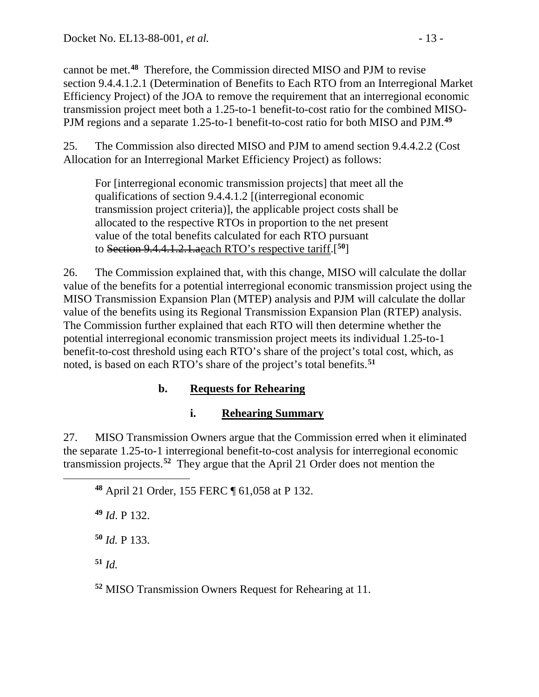cannot be met.**[48](#page-12-0)** Therefore, the Commission directed MISO and PJM to revise section 9.4.4.1.2.1 (Determination of Benefits to Each RTO from an Interregional Market Efficiency Project) of the JOA to remove the requirement that an interregional economic transmission project meet both a 1.25-to-1 benefit-to-cost ratio for the combined MISO-PJM regions and a separate 1.25-to-1 benefit-to-cost ratio for both MISO and PJM.**[49](#page-12-1)**

25. The Commission also directed MISO and PJM to amend section 9.4.4.2.2 (Cost Allocation for an Interregional Market Efficiency Project) as follows:

For [interregional economic transmission projects] that meet all the qualifications of section 9.4.4.1.2 [(interregional economic transmission project criteria)], the applicable project costs shall be allocated to the respective RTOs in proportion to the net present value of the total benefits calculated for each RTO pursuant to Section 9.4.4.1.2.1.aeach RTO's respective tariff.[**[50](#page-12-2)**]

26. The Commission explained that, with this change, MISO will calculate the dollar value of the benefits for a potential interregional economic transmission project using the MISO Transmission Expansion Plan (MTEP) analysis and PJM will calculate the dollar value of the benefits using its Regional Transmission Expansion Plan (RTEP) analysis. The Commission further explained that each RTO will then determine whether the potential interregional economic transmission project meets its individual 1.25-to-1 benefit-to-cost threshold using each RTO's share of the project's total cost, which, as noted, is based on each RTO's share of the project's total benefits.**[51](#page-12-3)**

## **b. Requests for Rehearing**

## **i. Rehearing Summary**

27. MISO Transmission Owners argue that the Commission erred when it eliminated the separate 1.25-to-1 interregional benefit-to-cost analysis for interregional economic transmission projects.**[52](#page-12-4)** They argue that the April 21 Order does not mention the

**<sup>48</sup>** April 21 Order, 155 FERC ¶ 61,058 at P 132.

**<sup>49</sup>** *Id*. P 132.

**<sup>50</sup>** *Id.* P 133.

<span id="page-12-3"></span>**<sup>51</sup>** *Id.* 

<span id="page-12-2"></span><span id="page-12-1"></span><span id="page-12-0"></span> $\overline{a}$ 

<span id="page-12-4"></span>**<sup>52</sup>** MISO Transmission Owners Request for Rehearing at 11.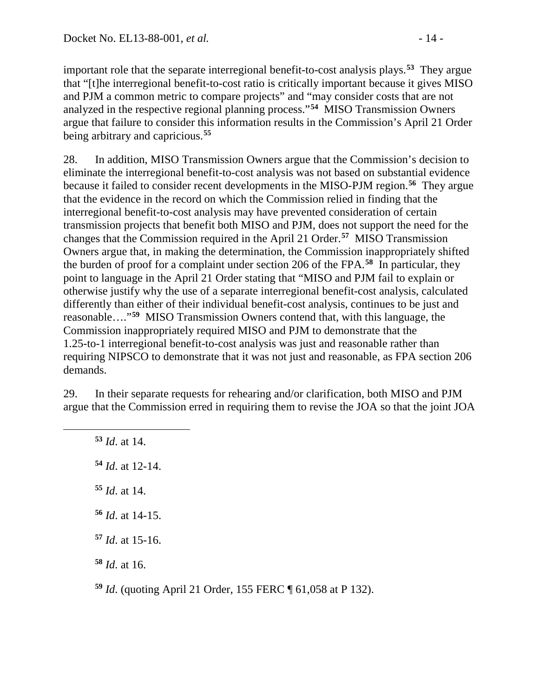important role that the separate interregional benefit-to-cost analysis plays.**[53](#page-13-0)** They argue that "[t]he interregional benefit-to-cost ratio is critically important because it gives MISO and PJM a common metric to compare projects" and "may consider costs that are not analyzed in the respective regional planning process."**[54](#page-13-1)** MISO Transmission Owners argue that failure to consider this information results in the Commission's April 21 Order being arbitrary and capricious.**[55](#page-13-2)**

28. In addition, MISO Transmission Owners argue that the Commission's decision to eliminate the interregional benefit-to-cost analysis was not based on substantial evidence because it failed to consider recent developments in the MISO-PJM region. **[56](#page-13-3)** They argue that the evidence in the record on which the Commission relied in finding that the interregional benefit-to-cost analysis may have prevented consideration of certain transmission projects that benefit both MISO and PJM, does not support the need for the changes that the Commission required in the April 21 Order.**[57](#page-13-4)** MISO Transmission Owners argue that, in making the determination, the Commission inappropriately shifted the burden of proof for a complaint under section 206 of the FPA.**[58](#page-13-5)** In particular, they point to language in the April 21 Order stating that "MISO and PJM fail to explain or otherwise justify why the use of a separate interregional benefit-cost analysis, calculated differently than either of their individual benefit-cost analysis, continues to be just and reasonable…."**[59](#page-13-6)** MISO Transmission Owners contend that, with this language, the Commission inappropriately required MISO and PJM to demonstrate that the 1.25-to-1 interregional benefit-to-cost analysis was just and reasonable rather than requiring NIPSCO to demonstrate that it was not just and reasonable, as FPA section 206 demands.

29. In their separate requests for rehearing and/or clarification, both MISO and PJM argue that the Commission erred in requiring them to revise the JOA so that the joint JOA

 *Id*. at 14. *Id*. at 12-14. *Id*. at 14. *Id*. at 14-15. *Id*. at 15-16. *Id*. at 16.

<span id="page-13-3"></span><span id="page-13-2"></span><span id="page-13-1"></span><span id="page-13-0"></span> $\overline{a}$ 

<span id="page-13-6"></span><span id="page-13-5"></span><span id="page-13-4"></span>**<sup>59</sup>** *Id*. (quoting April 21 Order, 155 FERC ¶ 61,058 at P 132).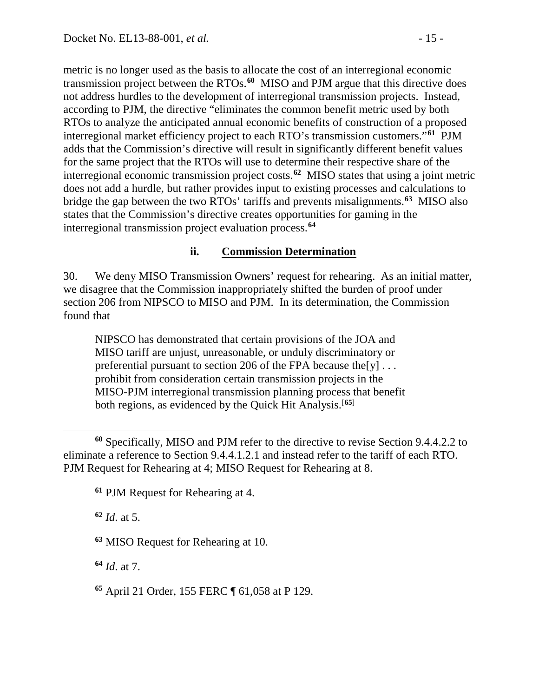metric is no longer used as the basis to allocate the cost of an interregional economic transmission project between the RTOs. **[60](#page-14-0)** MISO and PJM argue that this directive does not address hurdles to the development of interregional transmission projects. Instead, according to PJM, the directive "eliminates the common benefit metric used by both RTOs to analyze the anticipated annual economic benefits of construction of a proposed interregional market efficiency project to each RTO's transmission customers."**[61](#page-14-1)** PJM adds that the Commission's directive will result in significantly different benefit values for the same project that the RTOs will use to determine their respective share of the interregional economic transmission project costs.**[62](#page-14-2)** MISO states that using a joint metric does not add a hurdle, but rather provides input to existing processes and calculations to bridge the gap between the two RTOs' tariffs and prevents misalignments.**[63](#page-14-3)** MISO also states that the Commission's directive creates opportunities for gaming in the interregional transmission project evaluation process.**[64](#page-14-4)**

### **ii. Commission Determination**

30. We deny MISO Transmission Owners' request for rehearing. As an initial matter, we disagree that the Commission inappropriately shifted the burden of proof under section 206 from NIPSCO to MISO and PJM. In its determination, the Commission found that

NIPSCO has demonstrated that certain provisions of the JOA and MISO tariff are unjust, unreasonable, or unduly discriminatory or preferential pursuant to section 206 of the FPA because the [y]  $\dots$ prohibit from consideration certain transmission projects in the MISO-PJM interregional transmission planning process that benefit both regions, as evidenced by the Quick Hit Analysis. [**[65](#page-14-5)**]

<span id="page-14-2"></span>**<sup>62</sup>** *Id*. at 5.

<span id="page-14-4"></span>**<sup>64</sup>** *Id*. at 7.

<span id="page-14-5"></span>**<sup>65</sup>** April 21 Order, 155 FERC ¶ 61,058 at P 129.

<span id="page-14-1"></span><span id="page-14-0"></span> $\overline{a}$ **<sup>60</sup>** Specifically, MISO and PJM refer to the directive to revise Section 9.4.4.2.2 to eliminate a reference to Section 9.4.4.1.2.1 and instead refer to the tariff of each RTO. PJM Request for Rehearing at 4; MISO Request for Rehearing at 8.

**<sup>61</sup>** PJM Request for Rehearing at 4.

<span id="page-14-3"></span>**<sup>63</sup>** MISO Request for Rehearing at 10.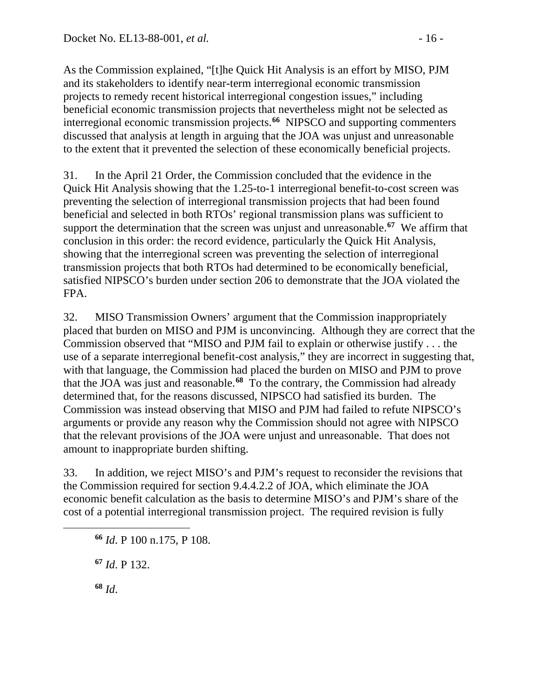As the Commission explained, "[t]he Quick Hit Analysis is an effort by MISO, PJM and its stakeholders to identify near-term interregional economic transmission projects to remedy recent historical interregional congestion issues," including beneficial economic transmission projects that nevertheless might not be selected as interregional economic transmission projects.**[66](#page-15-0)** NIPSCO and supporting commenters discussed that analysis at length in arguing that the JOA was unjust and unreasonable to the extent that it prevented the selection of these economically beneficial projects.

31. In the April 21 Order, the Commission concluded that the evidence in the Quick Hit Analysis showing that the 1.25-to-1 interregional benefit-to-cost screen was preventing the selection of interregional transmission projects that had been found beneficial and selected in both RTOs' regional transmission plans was sufficient to support the determination that the screen was unjust and unreasonable.**[67](#page-15-1)** We affirm that conclusion in this order: the record evidence, particularly the Quick Hit Analysis, showing that the interregional screen was preventing the selection of interregional transmission projects that both RTOs had determined to be economically beneficial, satisfied NIPSCO's burden under section 206 to demonstrate that the JOA violated the FPA.

32. MISO Transmission Owners' argument that the Commission inappropriately placed that burden on MISO and PJM is unconvincing. Although they are correct that the Commission observed that "MISO and PJM fail to explain or otherwise justify . . . the use of a separate interregional benefit-cost analysis," they are incorrect in suggesting that, with that language, the Commission had placed the burden on MISO and PJM to prove that the JOA was just and reasonable.**[68](#page-15-2)** To the contrary, the Commission had already determined that, for the reasons discussed, NIPSCO had satisfied its burden. The Commission was instead observing that MISO and PJM had failed to refute NIPSCO's arguments or provide any reason why the Commission should not agree with NIPSCO that the relevant provisions of the JOA were unjust and unreasonable. That does not amount to inappropriate burden shifting.

33. In addition, we reject MISO's and PJM's request to reconsider the revisions that the Commission required for section 9.4.4.2.2 of JOA, which eliminate the JOA economic benefit calculation as the basis to determine MISO's and PJM's share of the cost of a potential interregional transmission project. The required revision is fully

**<sup>67</sup>** *Id*. P 132.

**<sup>68</sup>** *Id*.

<span id="page-15-2"></span><span id="page-15-1"></span><span id="page-15-0"></span> $\overline{a}$ 

**<sup>66</sup>** *Id*. P 100 n.175, P 108.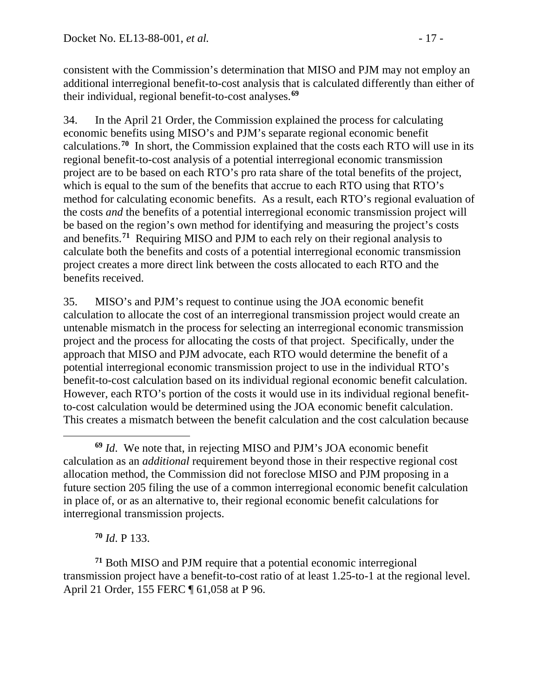consistent with the Commission's determination that MISO and PJM may not employ an additional interregional benefit-to-cost analysis that is calculated differently than either of their individual, regional benefit-to-cost analyses.**[69](#page-16-0)**

34. In the April 21 Order, the Commission explained the process for calculating economic benefits using MISO's and PJM's separate regional economic benefit calculations.**[70](#page-16-1)** In short, the Commission explained that the costs each RTO will use in its regional benefit-to-cost analysis of a potential interregional economic transmission project are to be based on each RTO's pro rata share of the total benefits of the project, which is equal to the sum of the benefits that accrue to each RTO using that RTO's method for calculating economic benefits. As a result, each RTO's regional evaluation of the costs *and* the benefits of a potential interregional economic transmission project will be based on the region's own method for identifying and measuring the project's costs and benefits. **[71](#page-16-2)** Requiring MISO and PJM to each rely on their regional analysis to calculate both the benefits and costs of a potential interregional economic transmission project creates a more direct link between the costs allocated to each RTO and the benefits received.

35. MISO's and PJM's request to continue using the JOA economic benefit calculation to allocate the cost of an interregional transmission project would create an untenable mismatch in the process for selecting an interregional economic transmission project and the process for allocating the costs of that project. Specifically, under the approach that MISO and PJM advocate, each RTO would determine the benefit of a potential interregional economic transmission project to use in the individual RTO's benefit-to-cost calculation based on its individual regional economic benefit calculation. However, each RTO's portion of the costs it would use in its individual regional benefitto-cost calculation would be determined using the JOA economic benefit calculation. This creates a mismatch between the benefit calculation and the cost calculation because

**<sup>70</sup>** *Id*. P 133.

<span id="page-16-2"></span><span id="page-16-1"></span>**<sup>71</sup>** Both MISO and PJM require that a potential economic interregional transmission project have a benefit-to-cost ratio of at least 1.25-to-1 at the regional level. April 21 Order, 155 FERC ¶ 61,058 at P 96.

<span id="page-16-0"></span> $\overline{a}$ **<sup>69</sup>** *Id*. We note that, in rejecting MISO and PJM's JOA economic benefit calculation as an *additional* requirement beyond those in their respective regional cost allocation method, the Commission did not foreclose MISO and PJM proposing in a future section 205 filing the use of a common interregional economic benefit calculation in place of, or as an alternative to, their regional economic benefit calculations for interregional transmission projects.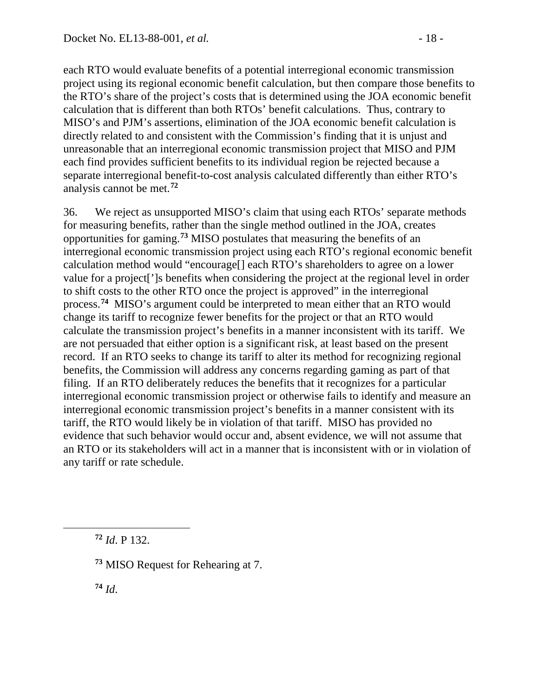each RTO would evaluate benefits of a potential interregional economic transmission project using its regional economic benefit calculation, but then compare those benefits to the RTO's share of the project's costs that is determined using the JOA economic benefit calculation that is different than both RTOs' benefit calculations. Thus, contrary to MISO's and PJM's assertions, elimination of the JOA economic benefit calculation is directly related to and consistent with the Commission's finding that it is unjust and unreasonable that an interregional economic transmission project that MISO and PJM each find provides sufficient benefits to its individual region be rejected because a separate interregional benefit-to-cost analysis calculated differently than either RTO's analysis cannot be met.**[72](#page-17-0)**

36. We reject as unsupported MISO's claim that using each RTOs' separate methods for measuring benefits, rather than the single method outlined in the JOA, creates opportunities for gaming. **[73](#page-17-1)** MISO postulates that measuring the benefits of an interregional economic transmission project using each RTO's regional economic benefit calculation method would "encourage[] each RTO's shareholders to agree on a lower value for a project[']s benefits when considering the project at the regional level in order to shift costs to the other RTO once the project is approved" in the interregional process.**[74](#page-17-2)** MISO's argument could be interpreted to mean either that an RTO would change its tariff to recognize fewer benefits for the project or that an RTO would calculate the transmission project's benefits in a manner inconsistent with its tariff. We are not persuaded that either option is a significant risk, at least based on the present record. If an RTO seeks to change its tariff to alter its method for recognizing regional benefits, the Commission will address any concerns regarding gaming as part of that filing. If an RTO deliberately reduces the benefits that it recognizes for a particular interregional economic transmission project or otherwise fails to identify and measure an interregional economic transmission project's benefits in a manner consistent with its tariff, the RTO would likely be in violation of that tariff. MISO has provided no evidence that such behavior would occur and, absent evidence, we will not assume that an RTO or its stakeholders will act in a manner that is inconsistent with or in violation of any tariff or rate schedule.

**<sup>72</sup>** *Id*. P 132.

**<sup>74</sup>** *Id*.

<span id="page-17-2"></span><span id="page-17-1"></span><span id="page-17-0"></span> $\overline{a}$ 

**<sup>73</sup>** MISO Request for Rehearing at 7.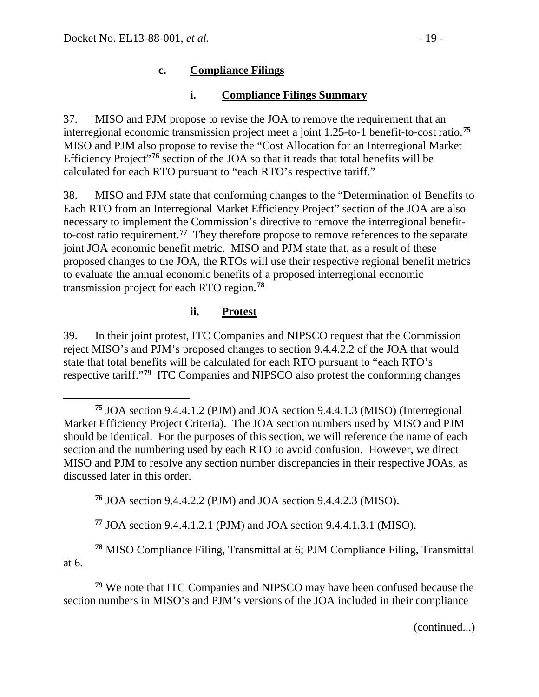# **c. Compliance Filings**

# **i. Compliance Filings Summary**

37. MISO and PJM propose to revise the JOA to remove the requirement that an interregional economic transmission project meet a joint 1.25-to-1 benefit-to-cost ratio. **[75](#page-18-0)** MISO and PJM also propose to revise the "Cost Allocation for an Interregional Market Efficiency Project<sup>"[76](#page-18-1)</sup> section of the JOA so that it reads that total benefits will be calculated for each RTO pursuant to "each RTO's respective tariff."

38. MISO and PJM state that conforming changes to the "Determination of Benefits to Each RTO from an Interregional Market Efficiency Project" section of the JOA are also necessary to implement the Commission's directive to remove the interregional benefitto-cost ratio requirement. **[77](#page-18-2)** They therefore propose to remove references to the separate joint JOA economic benefit metric. MISO and PJM state that, as a result of these proposed changes to the JOA, the RTOs will use their respective regional benefit metrics to evaluate the annual economic benefits of a proposed interregional economic transmission project for each RTO region.**[78](#page-18-3)**

# **ii. Protest**

39. In their joint protest, ITC Companies and NIPSCO request that the Commission reject MISO's and PJM's proposed changes to section 9.4.4.2.2 of the JOA that would state that total benefits will be calculated for each RTO pursuant to "each RTO's respective tariff."**[79](#page-18-4)** ITC Companies and NIPSCO also protest the conforming changes

**<sup>76</sup>** JOA section 9.4.4.2.2 (PJM) and JOA section 9.4.4.2.3 (MISO).

**<sup>77</sup>** JOA section 9.4.4.1.2.1 (PJM) and JOA section 9.4.4.1.3.1 (MISO).

<span id="page-18-3"></span><span id="page-18-2"></span><span id="page-18-1"></span>**<sup>78</sup>** MISO Compliance Filing, Transmittal at 6; PJM Compliance Filing, Transmittal at 6.

<span id="page-18-4"></span>**<sup>79</sup>** We note that ITC Companies and NIPSCO may have been confused because the section numbers in MISO's and PJM's versions of the JOA included in their compliance

(continued...)

<span id="page-18-0"></span> $\overline{a}$ **<sup>75</sup>** JOA section 9.4.4.1.2 (PJM) and JOA section 9.4.4.1.3 (MISO) (Interregional Market Efficiency Project Criteria). The JOA section numbers used by MISO and PJM should be identical. For the purposes of this section, we will reference the name of each section and the numbering used by each RTO to avoid confusion. However, we direct MISO and PJM to resolve any section number discrepancies in their respective JOAs, as discussed later in this order.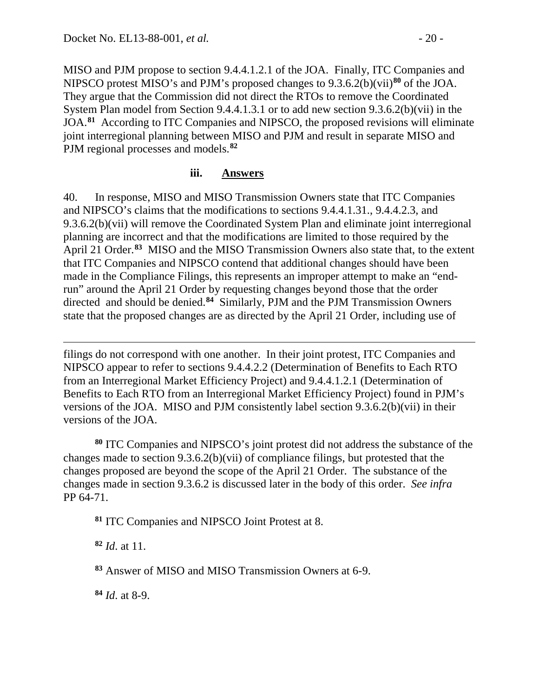MISO and PJM propose to section 9.4.4.1.2.1 of the JOA. Finally, ITC Companies and NIPSCO protest MISO's and PJM's proposed changes to 9.3.6.2(b)(vii)**[80](#page-19-0)** of the JOA. They argue that the Commission did not direct the RTOs to remove the Coordinated System Plan model from Section 9.4.4.1.3.1 or to add new section 9.3.6.2(b)(vii) in the JOA.**[81](#page-19-1)** According to ITC Companies and NIPSCO, the proposed revisions will eliminate joint interregional planning between MISO and PJM and result in separate MISO and PJM regional processes and models.**[82](#page-19-2)**

#### **iii. Answers**

40. In response, MISO and MISO Transmission Owners state that ITC Companies and NIPSCO's claims that the modifications to sections 9.4.4.1.31., 9.4.4.2.3, and 9.3.6.2(b)(vii) will remove the Coordinated System Plan and eliminate joint interregional planning are incorrect and that the modifications are limited to those required by the April 21 Order.**[83](#page-19-3)** MISO and the MISO Transmission Owners also state that, to the extent that ITC Companies and NIPSCO contend that additional changes should have been made in the Compliance Filings, this represents an improper attempt to make an "endrun" around the April 21 Order by requesting changes beyond those that the order directed and should be denied.**[84](#page-19-4)** Similarly, PJM and the PJM Transmission Owners state that the proposed changes are as directed by the April 21 Order, including use of

filings do not correspond with one another. In their joint protest, ITC Companies and NIPSCO appear to refer to sections 9.4.4.2.2 (Determination of Benefits to Each RTO from an Interregional Market Efficiency Project) and 9.4.4.1.2.1 (Determination of Benefits to Each RTO from an Interregional Market Efficiency Project) found in PJM's versions of the JOA. MISO and PJM consistently label section 9.3.6.2(b)(vii) in their versions of the JOA.

<span id="page-19-0"></span>**<sup>80</sup>** ITC Companies and NIPSCO's joint protest did not address the substance of the changes made to section 9.3.6.2(b)(vii) of compliance filings, but protested that the changes proposed are beyond the scope of the April 21 Order. The substance of the changes made in section 9.3.6.2 is discussed later in the body of this order. *See infra* PP 64-71.

<span id="page-19-1"></span>**<sup>81</sup>** ITC Companies and NIPSCO Joint Protest at 8.

<span id="page-19-2"></span>**<sup>82</sup>** *Id*. at 11.

 $\overline{a}$ 

<span id="page-19-3"></span>**<sup>83</sup>** Answer of MISO and MISO Transmission Owners at 6-9.

<span id="page-19-4"></span>**<sup>84</sup>** *Id*. at 8-9.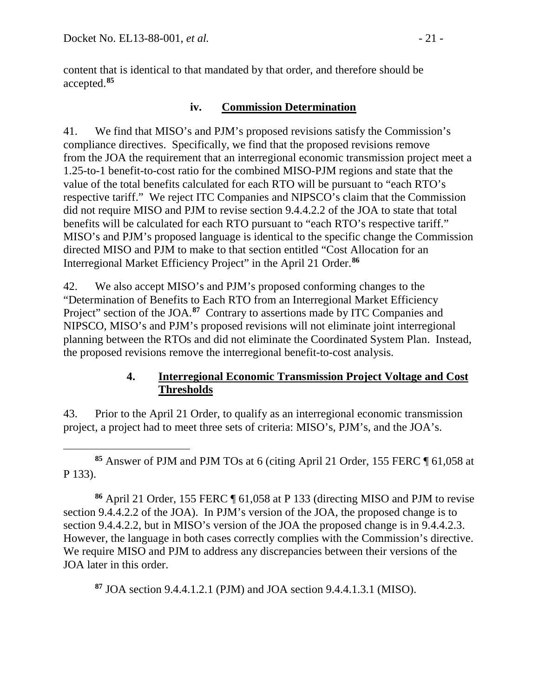content that is identical to that mandated by that order, and therefore should be accepted.**[85](#page-20-0)**

## **iv. Commission Determination**

41. We find that MISO's and PJM's proposed revisions satisfy the Commission's compliance directives. Specifically, we find that the proposed revisions remove from the JOA the requirement that an interregional economic transmission project meet a 1.25-to-1 benefit-to-cost ratio for the combined MISO-PJM regions and state that the value of the total benefits calculated for each RTO will be pursuant to "each RTO's respective tariff." We reject ITC Companies and NIPSCO's claim that the Commission did not require MISO and PJM to revise section 9.4.4.2.2 of the JOA to state that total benefits will be calculated for each RTO pursuant to "each RTO's respective tariff." MISO's and PJM's proposed language is identical to the specific change the Commission directed MISO and PJM to make to that section entitled "Cost Allocation for an Interregional Market Efficiency Project" in the April 21 Order.**[86](#page-20-1)**

42. We also accept MISO's and PJM's proposed conforming changes to the "Determination of Benefits to Each RTO from an Interregional Market Efficiency Project" section of the JOA.<sup>[87](#page-20-2)</sup> Contrary to assertions made by ITC Companies and NIPSCO, MISO's and PJM's proposed revisions will not eliminate joint interregional planning between the RTOs and did not eliminate the Coordinated System Plan. Instead, the proposed revisions remove the interregional benefit-to-cost analysis.

## **4. Interregional Economic Transmission Project Voltage and Cost Thresholds**

43. Prior to the April 21 Order, to qualify as an interregional economic transmission project, a project had to meet three sets of criteria: MISO's, PJM's, and the JOA's.

<span id="page-20-0"></span> $\overline{a}$ **<sup>85</sup>** Answer of PJM and PJM TOs at 6 (citing April 21 Order, 155 FERC ¶ 61,058 at P 133).

<span id="page-20-1"></span>**<sup>86</sup>** April 21 Order, 155 FERC ¶ 61,058 at P 133 (directing MISO and PJM to revise section 9.4.4.2.2 of the JOA). In PJM's version of the JOA, the proposed change is to section 9.4.4.2.2, but in MISO's version of the JOA the proposed change is in 9.4.4.2.3. However, the language in both cases correctly complies with the Commission's directive. We require MISO and PJM to address any discrepancies between their versions of the JOA later in this order.

<span id="page-20-2"></span>**<sup>87</sup>** JOA section 9.4.4.1.2.1 (PJM) and JOA section 9.4.4.1.3.1 (MISO).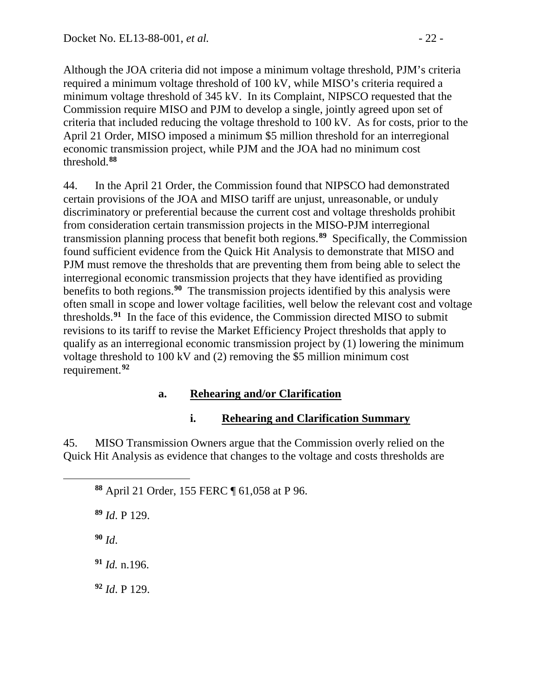Although the JOA criteria did not impose a minimum voltage threshold, PJM's criteria required a minimum voltage threshold of 100 kV, while MISO's criteria required a minimum voltage threshold of 345 kV. In its Complaint, NIPSCO requested that the Commission require MISO and PJM to develop a single, jointly agreed upon set of criteria that included reducing the voltage threshold to 100 kV. As for costs, prior to the April 21 Order, MISO imposed a minimum \$5 million threshold for an interregional economic transmission project, while PJM and the JOA had no minimum cost threshold.**[88](#page-21-0)**

44. In the April 21 Order, the Commission found that NIPSCO had demonstrated certain provisions of the JOA and MISO tariff are unjust, unreasonable, or unduly discriminatory or preferential because the current cost and voltage thresholds prohibit from consideration certain transmission projects in the MISO-PJM interregional transmission planning process that benefit both regions.**[89](#page-21-1)** Specifically, the Commission found sufficient evidence from the Quick Hit Analysis to demonstrate that MISO and PJM must remove the thresholds that are preventing them from being able to select the interregional economic transmission projects that they have identified as providing benefits to both regions.**[90](#page-21-2)** The transmission projects identified by this analysis were often small in scope and lower voltage facilities, well below the relevant cost and voltage thresholds.**[91](#page-21-3)** In the face of this evidence, the Commission directed MISO to submit revisions to its tariff to revise the Market Efficiency Project thresholds that apply to qualify as an interregional economic transmission project by (1) lowering the minimum voltage threshold to 100 kV and (2) removing the \$5 million minimum cost requirement.**[92](#page-21-4)**

## **a. Rehearing and/or Clarification**

# **i. Rehearing and Clarification Summary**

45. MISO Transmission Owners argue that the Commission overly relied on the Quick Hit Analysis as evidence that changes to the voltage and costs thresholds are

**<sup>88</sup>** April 21 Order, 155 FERC ¶ 61,058 at P 96.

**<sup>89</sup>** *Id*. P 129.

**<sup>90</sup>** *Id*.

<span id="page-21-2"></span><span id="page-21-1"></span><span id="page-21-0"></span> $\overline{a}$ 

<span id="page-21-3"></span>**<sup>91</sup>** *Id.* n.196.

<span id="page-21-4"></span>**<sup>92</sup>** *Id*. P 129.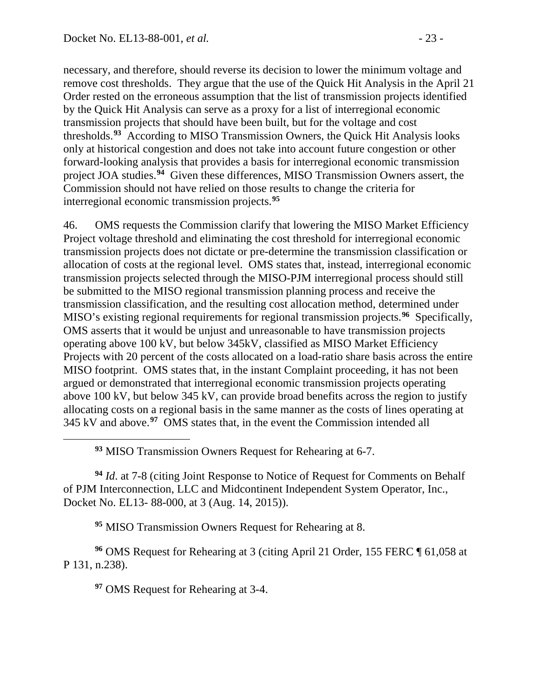necessary, and therefore, should reverse its decision to lower the minimum voltage and remove cost thresholds. They argue that the use of the Quick Hit Analysis in the April 21 Order rested on the erroneous assumption that the list of transmission projects identified by the Quick Hit Analysis can serve as a proxy for a list of interregional economic transmission projects that should have been built, but for the voltage and cost thresholds.**[93](#page-22-0)** According to MISO Transmission Owners, the Quick Hit Analysis looks only at historical congestion and does not take into account future congestion or other forward-looking analysis that provides a basis for interregional economic transmission project JOA studies.**[94](#page-22-1)** Given these differences, MISO Transmission Owners assert, the Commission should not have relied on those results to change the criteria for interregional economic transmission projects.**[95](#page-22-2)**

46. OMS requests the Commission clarify that lowering the MISO Market Efficiency Project voltage threshold and eliminating the cost threshold for interregional economic transmission projects does not dictate or pre-determine the transmission classification or allocation of costs at the regional level. OMS states that, instead, interregional economic transmission projects selected through the MISO-PJM interregional process should still be submitted to the MISO regional transmission planning process and receive the transmission classification, and the resulting cost allocation method, determined under MISO's existing regional requirements for regional transmission projects.**[96](#page-22-3)** Specifically, OMS asserts that it would be unjust and unreasonable to have transmission projects operating above 100 kV, but below 345kV, classified as MISO Market Efficiency Projects with 20 percent of the costs allocated on a load-ratio share basis across the entire MISO footprint. OMS states that, in the instant Complaint proceeding, it has not been argued or demonstrated that interregional economic transmission projects operating above 100 kV, but below 345 kV, can provide broad benefits across the region to justify allocating costs on a regional basis in the same manner as the costs of lines operating at 345 kV and above.**[97](#page-22-4)** OMS states that, in the event the Commission intended all

**<sup>93</sup>** MISO Transmission Owners Request for Rehearing at 6-7.

<span id="page-22-1"></span>**<sup>94</sup>** *Id*. at 7-8 (citing Joint Response to Notice of Request for Comments on Behalf of PJM Interconnection, LLC and Midcontinent Independent System Operator, Inc., Docket No. EL13- 88-000, at 3 (Aug. 14, 2015)).

**<sup>95</sup>** MISO Transmission Owners Request for Rehearing at 8.

<span id="page-22-4"></span><span id="page-22-3"></span><span id="page-22-2"></span>**<sup>96</sup>** OMS Request for Rehearing at 3 (citing April 21 Order, 155 FERC ¶ 61,058 at P 131, n.238).

**<sup>97</sup>** OMS Request for Rehearing at 3-4.

<span id="page-22-0"></span> $\overline{a}$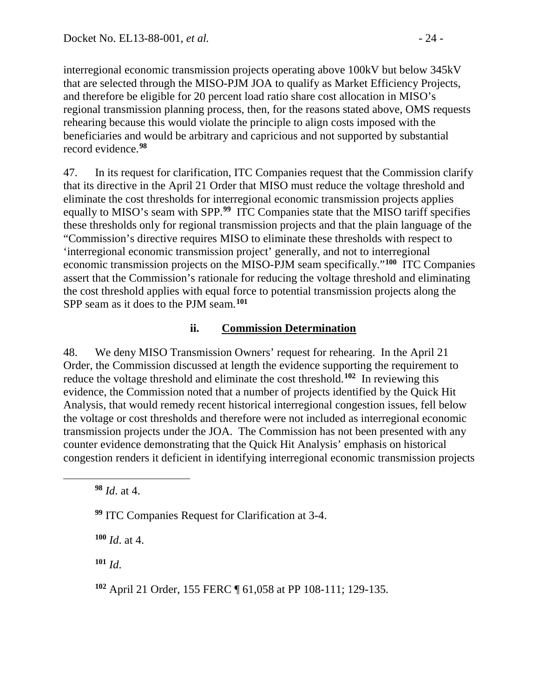interregional economic transmission projects operating above 100kV but below 345kV that are selected through the MISO-PJM JOA to qualify as Market Efficiency Projects, and therefore be eligible for 20 percent load ratio share cost allocation in MISO's regional transmission planning process, then, for the reasons stated above, OMS requests rehearing because this would violate the principle to align costs imposed with the beneficiaries and would be arbitrary and capricious and not supported by substantial record evidence.**[98](#page-23-0)**

47. In its request for clarification, ITC Companies request that the Commission clarify that its directive in the April 21 Order that MISO must reduce the voltage threshold and eliminate the cost thresholds for interregional economic transmission projects applies equally to MISO's seam with SPP.**[99](#page-23-1)** ITC Companies state that the MISO tariff specifies these thresholds only for regional transmission projects and that the plain language of the "Commission's directive requires MISO to eliminate these thresholds with respect to 'interregional economic transmission project' generally, and not to interregional economic transmission projects on the MISO-PJM seam specifically."**[100](#page-23-2)** ITC Companies assert that the Commission's rationale for reducing the voltage threshold and eliminating the cost threshold applies with equal force to potential transmission projects along the SPP seam as it does to the PJM seam.**[101](#page-23-3)**

## **ii. Commission Determination**

48. We deny MISO Transmission Owners' request for rehearing. In the April 21 Order, the Commission discussed at length the evidence supporting the requirement to reduce the voltage threshold and eliminate the cost threshold.<sup>[102](#page-23-4)</sup> In reviewing this evidence, the Commission noted that a number of projects identified by the Quick Hit Analysis, that would remedy recent historical interregional congestion issues, fell below the voltage or cost thresholds and therefore were not included as interregional economic transmission projects under the JOA. The Commission has not been presented with any counter evidence demonstrating that the Quick Hit Analysis' emphasis on historical congestion renders it deficient in identifying interregional economic transmission projects

**<sup>98</sup>** *Id*. at 4.

<span id="page-23-2"></span><span id="page-23-1"></span><span id="page-23-0"></span> $\overline{a}$ 

**<sup>99</sup>** ITC Companies Request for Clarification at 3-4.

**<sup>100</sup>** *Id*. at 4.

<span id="page-23-3"></span>**<sup>101</sup>** *Id*.

<span id="page-23-4"></span>**<sup>102</sup>** April 21 Order, 155 FERC ¶ 61,058 at PP 108-111; 129-135.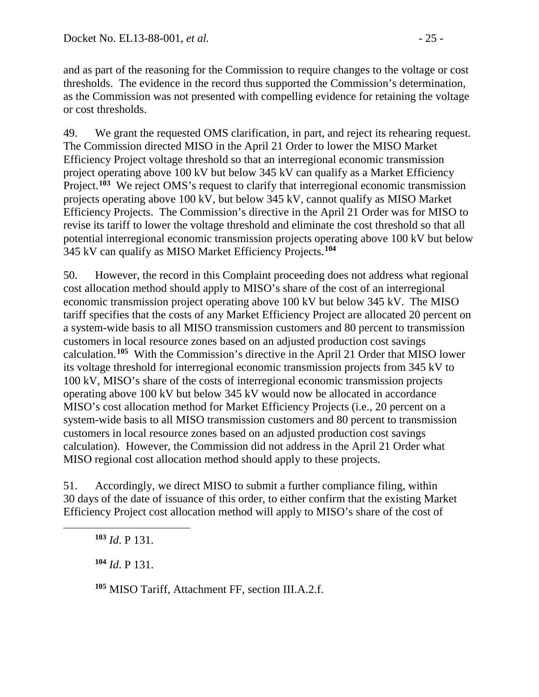and as part of the reasoning for the Commission to require changes to the voltage or cost thresholds. The evidence in the record thus supported the Commission's determination, as the Commission was not presented with compelling evidence for retaining the voltage or cost thresholds.

49. We grant the requested OMS clarification, in part, and reject its rehearing request. The Commission directed MISO in the April 21 Order to lower the MISO Market Efficiency Project voltage threshold so that an interregional economic transmission project operating above 100 kV but below 345 kV can qualify as a Market Efficiency Project.<sup>[103](#page-24-0)</sup> We reject OMS's request to clarify that interregional economic transmission projects operating above 100 kV, but below 345 kV, cannot qualify as MISO Market Efficiency Projects. The Commission's directive in the April 21 Order was for MISO to revise its tariff to lower the voltage threshold and eliminate the cost threshold so that all potential interregional economic transmission projects operating above 100 kV but below 345 kV can qualify as MISO Market Efficiency Projects.**[104](#page-24-1)**

50. However, the record in this Complaint proceeding does not address what regional cost allocation method should apply to MISO's share of the cost of an interregional economic transmission project operating above 100 kV but below 345 kV. The MISO tariff specifies that the costs of any Market Efficiency Project are allocated 20 percent on a system-wide basis to all MISO transmission customers and 80 percent to transmission customers in local resource zones based on an adjusted production cost savings calculation.**[105](#page-24-2)** With the Commission's directive in the April 21 Order that MISO lower its voltage threshold for interregional economic transmission projects from 345 kV to 100 kV, MISO's share of the costs of interregional economic transmission projects operating above 100 kV but below 345 kV would now be allocated in accordance MISO's cost allocation method for Market Efficiency Projects (i.e., 20 percent on a system-wide basis to all MISO transmission customers and 80 percent to transmission customers in local resource zones based on an adjusted production cost savings calculation). However, the Commission did not address in the April 21 Order what MISO regional cost allocation method should apply to these projects.

51. Accordingly, we direct MISO to submit a further compliance filing, within 30 days of the date of issuance of this order, to either confirm that the existing Market Efficiency Project cost allocation method will apply to MISO's share of the cost of

**<sup>103</sup>** *Id*. P 131.

<span id="page-24-2"></span><span id="page-24-1"></span><span id="page-24-0"></span> $\overline{a}$ 

**<sup>104</sup>** *Id*. P 131.

**<sup>105</sup>** MISO Tariff, Attachment FF, section III.A.2.f.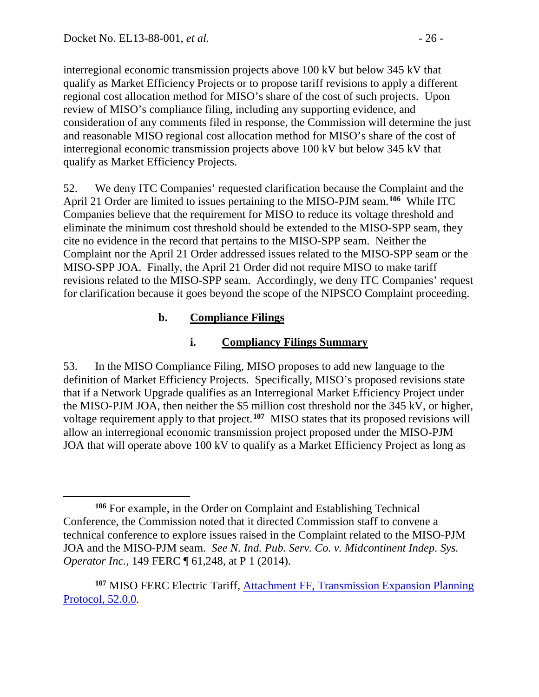interregional economic transmission projects above 100 kV but below 345 kV that qualify as Market Efficiency Projects or to propose tariff revisions to apply a different regional cost allocation method for MISO's share of the cost of such projects. Upon review of MISO's compliance filing, including any supporting evidence, and consideration of any comments filed in response, the Commission will determine the just and reasonable MISO regional cost allocation method for MISO's share of the cost of interregional economic transmission projects above 100 kV but below 345 kV that qualify as Market Efficiency Projects.

52. We deny ITC Companies' requested clarification because the Complaint and the April 21 Order are limited to issues pertaining to the MISO-PJM seam.**[106](#page-25-0)** While ITC Companies believe that the requirement for MISO to reduce its voltage threshold and eliminate the minimum cost threshold should be extended to the MISO-SPP seam, they cite no evidence in the record that pertains to the MISO-SPP seam. Neither the Complaint nor the April 21 Order addressed issues related to the MISO-SPP seam or the MISO-SPP JOA. Finally, the April 21 Order did not require MISO to make tariff revisions related to the MISO-SPP seam. Accordingly, we deny ITC Companies' request for clarification because it goes beyond the scope of the NIPSCO Complaint proceeding.

## **b. Compliance Filings**

# **i. Compliancy Filings Summary**

53. In the MISO Compliance Filing, MISO proposes to add new language to the definition of Market Efficiency Projects. Specifically, MISO's proposed revisions state that if a Network Upgrade qualifies as an Interregional Market Efficiency Project under the MISO-PJM JOA, then neither the \$5 million cost threshold nor the 345 kV, or higher, voltage requirement apply to that project.**[107](#page-25-1)** MISO states that its proposed revisions will allow an interregional economic transmission project proposed under the MISO-PJM JOA that will operate above 100 kV to qualify as a Market Efficiency Project as long as

<span id="page-25-0"></span> $\overline{a}$ **<sup>106</sup>** For example, in the Order on Complaint and Establishing Technical Conference, the Commission noted that it directed Commission staff to convene a technical conference to explore issues raised in the Complaint related to the MISO-PJM JOA and the MISO-PJM seam. *See N. Ind. Pub. Serv. Co. v. Midcontinent Indep. Sys. Operator Inc.*, 149 FERC ¶ 61,248, at P 1 (2014).

<span id="page-25-1"></span>**<sup>107</sup>** MISO FERC Electric Tariff, [Attachment FF, Transmission Expansion Planning](http://etariff.ferc.gov/TariffSectionDetails.aspx?tid=1162&sid=202150)  [Protocol, 52.0.0.](http://etariff.ferc.gov/TariffSectionDetails.aspx?tid=1162&sid=202150)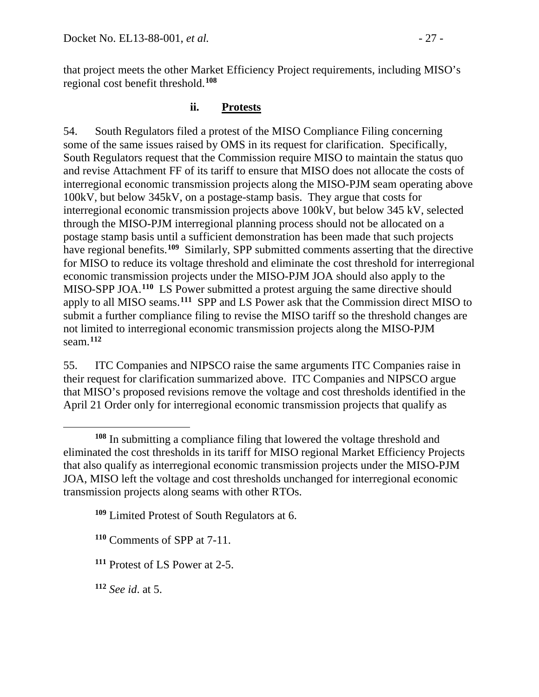that project meets the other Market Efficiency Project requirements, including MISO's regional cost benefit threshold.**[108](#page-26-0)**

### **ii. Protests**

54. South Regulators filed a protest of the MISO Compliance Filing concerning some of the same issues raised by OMS in its request for clarification. Specifically, South Regulators request that the Commission require MISO to maintain the status quo and revise Attachment FF of its tariff to ensure that MISO does not allocate the costs of interregional economic transmission projects along the MISO-PJM seam operating above 100kV, but below 345kV, on a postage-stamp basis. They argue that costs for interregional economic transmission projects above 100kV, but below 345 kV, selected through the MISO-PJM interregional planning process should not be allocated on a postage stamp basis until a sufficient demonstration has been made that such projects have regional benefits.**[109](#page-26-1)** Similarly, SPP submitted comments asserting that the directive for MISO to reduce its voltage threshold and eliminate the cost threshold for interregional economic transmission projects under the MISO-PJM JOA should also apply to the MISO-SPP JOA. **[110](#page-26-2)** LS Power submitted a protest arguing the same directive should apply to all MISO seams.**[111](#page-26-3)** SPP and LS Power ask that the Commission direct MISO to submit a further compliance filing to revise the MISO tariff so the threshold changes are not limited to interregional economic transmission projects along the MISO-PJM seam.**[112](#page-26-4)**

55. ITC Companies and NIPSCO raise the same arguments ITC Companies raise in their request for clarification summarized above. ITC Companies and NIPSCO argue that MISO's proposed revisions remove the voltage and cost thresholds identified in the April 21 Order only for interregional economic transmission projects that qualify as

<span id="page-26-1"></span>**<sup>109</sup>** Limited Protest of South Regulators at 6.

<span id="page-26-2"></span>**<sup>110</sup>** Comments of SPP at 7-11.

<span id="page-26-3"></span>**<sup>111</sup>** Protest of LS Power at 2-5.

<span id="page-26-4"></span>**<sup>112</sup>** *See id*. at 5.

<span id="page-26-0"></span> $\overline{a}$ **<sup>108</sup>** In submitting a compliance filing that lowered the voltage threshold and eliminated the cost thresholds in its tariff for MISO regional Market Efficiency Projects that also qualify as interregional economic transmission projects under the MISO-PJM JOA, MISO left the voltage and cost thresholds unchanged for interregional economic transmission projects along seams with other RTOs.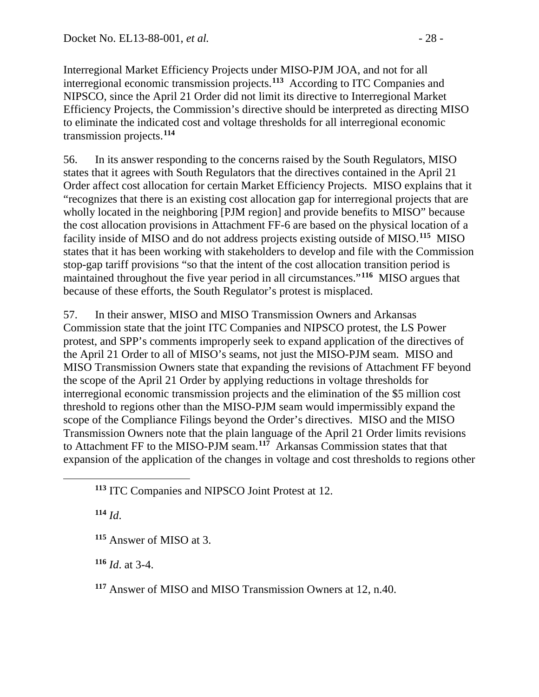Interregional Market Efficiency Projects under MISO-PJM JOA, and not for all interregional economic transmission projects.**[113](#page-27-0)** According to ITC Companies and NIPSCO, since the April 21 Order did not limit its directive to Interregional Market Efficiency Projects, the Commission's directive should be interpreted as directing MISO to eliminate the indicated cost and voltage thresholds for all interregional economic transmission projects.**[114](#page-27-1)**

56. In its answer responding to the concerns raised by the South Regulators, MISO states that it agrees with South Regulators that the directives contained in the April 21 Order affect cost allocation for certain Market Efficiency Projects. MISO explains that it "recognizes that there is an existing cost allocation gap for interregional projects that are wholly located in the neighboring [PJM region] and provide benefits to MISO" because the cost allocation provisions in Attachment FF-6 are based on the physical location of a facility inside of MISO and do not address projects existing outside of MISO.**[115](#page-27-2)** MISO states that it has been working with stakeholders to develop and file with the Commission stop-gap tariff provisions "so that the intent of the cost allocation transition period is maintained throughout the five year period in all circumstances."**[116](#page-27-3)** MISO argues that because of these efforts, the South Regulator's protest is misplaced.

57. In their answer, MISO and MISO Transmission Owners and Arkansas Commission state that the joint ITC Companies and NIPSCO protest, the LS Power protest, and SPP's comments improperly seek to expand application of the directives of the April 21 Order to all of MISO's seams, not just the MISO-PJM seam. MISO and MISO Transmission Owners state that expanding the revisions of Attachment FF beyond the scope of the April 21 Order by applying reductions in voltage thresholds for interregional economic transmission projects and the elimination of the \$5 million cost threshold to regions other than the MISO-PJM seam would impermissibly expand the scope of the Compliance Filings beyond the Order's directives. MISO and the MISO Transmission Owners note that the plain language of the April 21 Order limits revisions to Attachment FF to the MISO-PJM seam.**[117](#page-27-4)** Arkansas Commission states that that expansion of the application of the changes in voltage and cost thresholds to regions other

**<sup>114</sup>** *Id*.

<span id="page-27-2"></span><span id="page-27-1"></span><span id="page-27-0"></span> $\overline{a}$ 

<span id="page-27-3"></span>**<sup>116</sup>** *Id*. at 3-4.

<span id="page-27-4"></span>**<sup>117</sup>** Answer of MISO and MISO Transmission Owners at 12, n.40.

**<sup>113</sup>** ITC Companies and NIPSCO Joint Protest at 12.

**<sup>115</sup>** Answer of MISO at 3.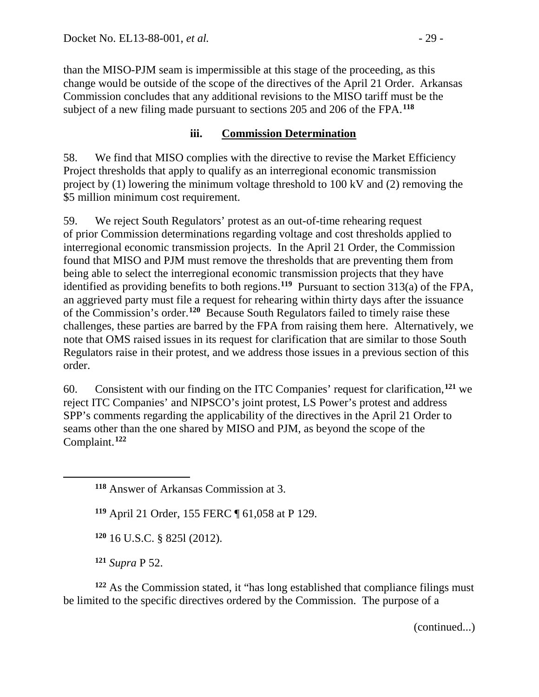than the MISO-PJM seam is impermissible at this stage of the proceeding, as this change would be outside of the scope of the directives of the April 21 Order. Arkansas Commission concludes that any additional revisions to the MISO tariff must be the subject of a new filing made pursuant to sections 205 and 206 of the FPA.**[118](#page-28-0)**

### **iii. Commission Determination**

58. We find that MISO complies with the directive to revise the Market Efficiency Project thresholds that apply to qualify as an interregional economic transmission project by (1) lowering the minimum voltage threshold to 100 kV and (2) removing the \$5 million minimum cost requirement.

59. We reject South Regulators' protest as an out-of-time rehearing request of prior Commission determinations regarding voltage and cost thresholds applied to interregional economic transmission projects. In the April 21 Order, the Commission found that MISO and PJM must remove the thresholds that are preventing them from being able to select the interregional economic transmission projects that they have identified as providing benefits to both regions.**[119](#page-28-1)** Pursuant to section 313(a) of the FPA, an aggrieved party must file a request for rehearing within thirty days after the issuance of the Commission's order.**[120](#page-28-2)** Because South Regulators failed to timely raise these challenges, these parties are barred by the FPA from raising them here. Alternatively, we note that OMS raised issues in its request for clarification that are similar to those South Regulators raise in their protest, and we address those issues in a previous section of this order.

60. Consistent with our finding on the ITC Companies' request for clarification,**[121](#page-28-3)** we reject ITC Companies' and NIPSCO's joint protest, LS Power's protest and address SPP's comments regarding the applicability of the directives in the April 21 Order to seams other than the one shared by MISO and PJM, as beyond the scope of the Complaint. **[122](#page-28-4)**

**<sup>119</sup>** April 21 Order, 155 FERC ¶ 61,058 at P 129.

**<sup>120</sup>** 16 U.S.C. § 825l (2012).

**<sup>121</sup>** *Supra* P 52.

<span id="page-28-1"></span><span id="page-28-0"></span> $\overline{a}$ 

<span id="page-28-4"></span><span id="page-28-3"></span><span id="page-28-2"></span>**<sup>122</sup>** As the Commission stated, it "has long established that compliance filings must be limited to the specific directives ordered by the Commission. The purpose of a

(continued...)

**<sup>118</sup>** Answer of Arkansas Commission at 3.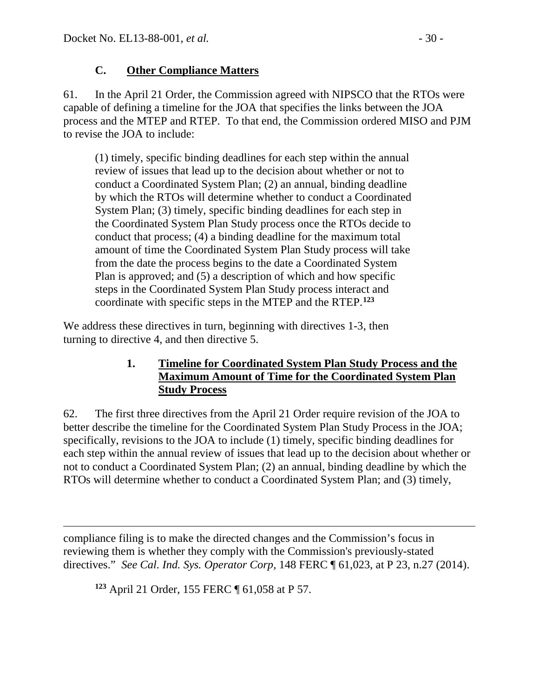## **C. Other Compliance Matters**

61. In the April 21 Order, the Commission agreed with NIPSCO that the RTOs were capable of defining a timeline for the JOA that specifies the links between the JOA process and the MTEP and RTEP. To that end, the Commission ordered MISO and PJM to revise the JOA to include:

(1) timely, specific binding deadlines for each step within the annual review of issues that lead up to the decision about whether or not to conduct a Coordinated System Plan; (2) an annual, binding deadline by which the RTOs will determine whether to conduct a Coordinated System Plan; (3) timely, specific binding deadlines for each step in the Coordinated System Plan Study process once the RTOs decide to conduct that process; (4) a binding deadline for the maximum total amount of time the Coordinated System Plan Study process will take from the date the process begins to the date a Coordinated System Plan is approved; and (5) a description of which and how specific steps in the Coordinated System Plan Study process interact and coordinate with specific steps in the MTEP and the RTEP.**[123](#page-29-0)**

We address these directives in turn, beginning with directives 1-3, then turning to directive 4, and then directive 5.

## **1. Timeline for Coordinated System Plan Study Process and the Maximum Amount of Time for the Coordinated System Plan Study Process**

62. The first three directives from the April 21 Order require revision of the JOA to better describe the timeline for the Coordinated System Plan Study Process in the JOA; specifically, revisions to the JOA to include (1) timely, specific binding deadlines for each step within the annual review of issues that lead up to the decision about whether or not to conduct a Coordinated System Plan; (2) an annual, binding deadline by which the RTOs will determine whether to conduct a Coordinated System Plan; and (3) timely,

<span id="page-29-0"></span> $\overline{a}$ compliance filing is to make the directed changes and the Commission's focus in reviewing them is whether they comply with the Commission's previously-stated directives." *See Cal. Ind. Sys. Operator Corp,* 148 FERC ¶ 61,023, at P 23, n.27 (2014).

**<sup>123</sup>** April 21 Order, 155 FERC ¶ 61,058 at P 57.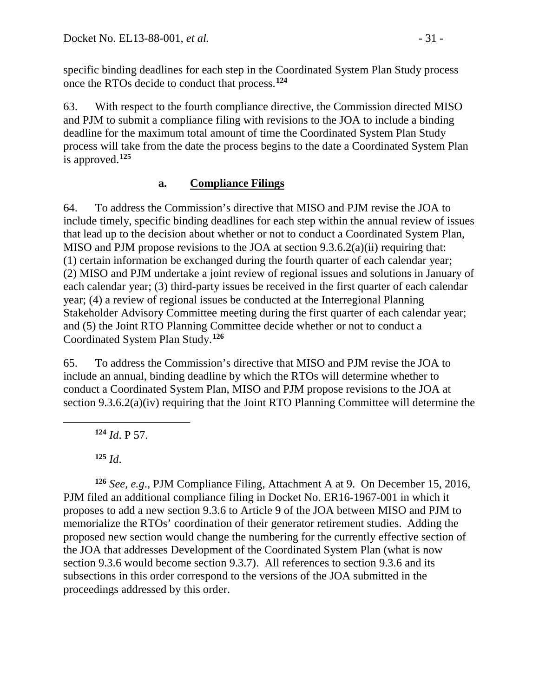specific binding deadlines for each step in the Coordinated System Plan Study process once the RTOs decide to conduct that process.**[124](#page-30-0)**

63. With respect to the fourth compliance directive, the Commission directed MISO and PJM to submit a compliance filing with revisions to the JOA to include a binding deadline for the maximum total amount of time the Coordinated System Plan Study process will take from the date the process begins to the date a Coordinated System Plan is approved.**[125](#page-30-1)**

## **a. Compliance Filings**

64. To address the Commission's directive that MISO and PJM revise the JOA to include timely, specific binding deadlines for each step within the annual review of issues that lead up to the decision about whether or not to conduct a Coordinated System Plan, MISO and PJM propose revisions to the JOA at section 9.3.6.2(a)(ii) requiring that: (1) certain information be exchanged during the fourth quarter of each calendar year; (2) MISO and PJM undertake a joint review of regional issues and solutions in January of each calendar year; (3) third-party issues be received in the first quarter of each calendar year; (4) a review of regional issues be conducted at the Interregional Planning Stakeholder Advisory Committee meeting during the first quarter of each calendar year; and (5) the Joint RTO Planning Committee decide whether or not to conduct a Coordinated System Plan Study.**[126](#page-30-2)**

65. To address the Commission's directive that MISO and PJM revise the JOA to include an annual, binding deadline by which the RTOs will determine whether to conduct a Coordinated System Plan, MISO and PJM propose revisions to the JOA at section 9.3.6.2(a)(iv) requiring that the Joint RTO Planning Committee will determine the

**<sup>124</sup>** *Id*. P 57.

**<sup>125</sup>** *Id*.

<span id="page-30-0"></span> $\overline{a}$ 

<span id="page-30-2"></span><span id="page-30-1"></span>**<sup>126</sup>** *See, e.g*., PJM Compliance Filing, Attachment A at 9. On December 15, 2016, PJM filed an additional compliance filing in Docket No. ER16-1967-001 in which it proposes to add a new section 9.3.6 to Article 9 of the JOA between MISO and PJM to memorialize the RTOs' coordination of their generator retirement studies. Adding the proposed new section would change the numbering for the currently effective section of the JOA that addresses Development of the Coordinated System Plan (what is now section 9.3.6 would become section 9.3.7). All references to section 9.3.6 and its subsections in this order correspond to the versions of the JOA submitted in the proceedings addressed by this order.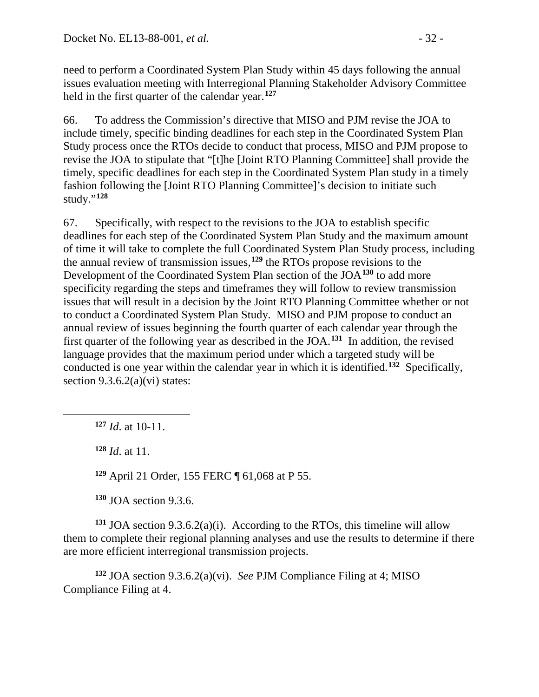need to perform a Coordinated System Plan Study within 45 days following the annual issues evaluation meeting with Interregional Planning Stakeholder Advisory Committee held in the first quarter of the calendar year.**[127](#page-31-0)**

66. To address the Commission's directive that MISO and PJM revise the JOA to include timely, specific binding deadlines for each step in the Coordinated System Plan Study process once the RTOs decide to conduct that process, MISO and PJM propose to revise the JOA to stipulate that "[t]he [Joint RTO Planning Committee] shall provide the timely, specific deadlines for each step in the Coordinated System Plan study in a timely fashion following the [Joint RTO Planning Committee]'s decision to initiate such study."**[128](#page-31-1)**

67. Specifically, with respect to the revisions to the JOA to establish specific deadlines for each step of the Coordinated System Plan Study and the maximum amount of time it will take to complete the full Coordinated System Plan Study process, including the annual review of transmission issues, **[129](#page-31-2)** the RTOs propose revisions to the Development of the Coordinated System Plan section of the JOA**[130](#page-31-3)** to add more specificity regarding the steps and timeframes they will follow to review transmission issues that will result in a decision by the Joint RTO Planning Committee whether or not to conduct a Coordinated System Plan Study. MISO and PJM propose to conduct an annual review of issues beginning the fourth quarter of each calendar year through the first quarter of the following year as described in the JOA.**[131](#page-31-4)** In addition, the revised language provides that the maximum period under which a targeted study will be conducted is one year within the calendar year in which it is identified.**[132](#page-31-5)** Specifically, section  $9.3.6.2(a)(vi)$  states:

**<sup>127</sup>** *Id*. at 10-11.

**<sup>128</sup>** *Id*. at 11.

<span id="page-31-1"></span><span id="page-31-0"></span> $\overline{a}$ 

**<sup>129</sup>** April 21 Order, 155 FERC ¶ 61,068 at P 55.

**<sup>130</sup>** JOA section 9.3.6.

<span id="page-31-4"></span><span id="page-31-3"></span><span id="page-31-2"></span>**<sup>131</sup>** JOA section 9.3.6.2(a)(i). According to the RTOs, this timeline will allow them to complete their regional planning analyses and use the results to determine if there are more efficient interregional transmission projects.

<span id="page-31-5"></span>**<sup>132</sup>** JOA section 9.3.6.2(a)(vi). *See* PJM Compliance Filing at 4; MISO Compliance Filing at 4.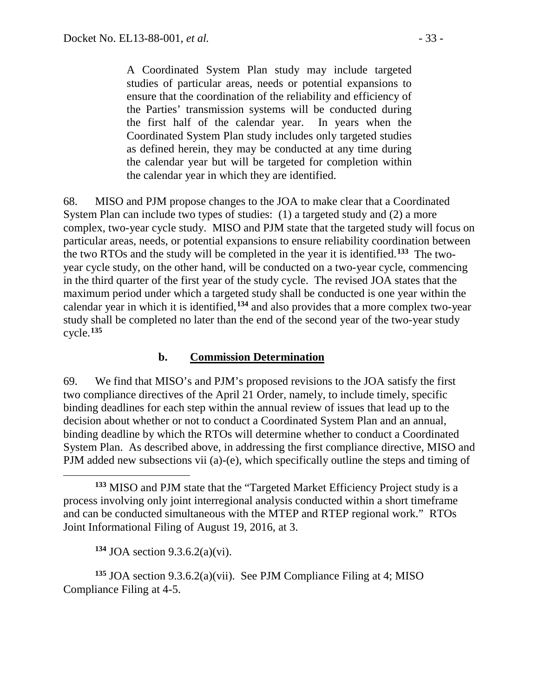A Coordinated System Plan study may include targeted studies of particular areas, needs or potential expansions to ensure that the coordination of the reliability and efficiency of the Parties' transmission systems will be conducted during the first half of the calendar year. In years when the Coordinated System Plan study includes only targeted studies as defined herein, they may be conducted at any time during the calendar year but will be targeted for completion within the calendar year in which they are identified.

68. MISO and PJM propose changes to the JOA to make clear that a Coordinated System Plan can include two types of studies: (1) a targeted study and (2) a more complex, two-year cycle study. MISO and PJM state that the targeted study will focus on particular areas, needs, or potential expansions to ensure reliability coordination between the two RTOs and the study will be completed in the year it is identified.**[133](#page-32-0)** The twoyear cycle study, on the other hand, will be conducted on a two-year cycle, commencing in the third quarter of the first year of the study cycle. The revised JOA states that the maximum period under which a targeted study shall be conducted is one year within the calendar year in which it is identified,**[134](#page-32-1)** and also provides that a more complex two-year study shall be completed no later than the end of the second year of the two-year study cycle.**[135](#page-32-2)**

### **b. Commission Determination**

69. We find that MISO's and PJM's proposed revisions to the JOA satisfy the first two compliance directives of the April 21 Order, namely, to include timely, specific binding deadlines for each step within the annual review of issues that lead up to the decision about whether or not to conduct a Coordinated System Plan and an annual, binding deadline by which the RTOs will determine whether to conduct a Coordinated System Plan. As described above, in addressing the first compliance directive, MISO and PJM added new subsections vii (a)-(e), which specifically outline the steps and timing of

**<sup>134</sup>** JOA section 9.3.6.2(a)(vi).

 $\overline{a}$ 

<span id="page-32-2"></span><span id="page-32-1"></span>**<sup>135</sup>** JOA section 9.3.6.2(a)(vii). See PJM Compliance Filing at 4; MISO Compliance Filing at 4-5.

<span id="page-32-0"></span>**<sup>133</sup>** MISO and PJM state that the "Targeted Market Efficiency Project study is a process involving only joint interregional analysis conducted within a short timeframe and can be conducted simultaneous with the MTEP and RTEP regional work." RTOs Joint Informational Filing of August 19, 2016, at 3.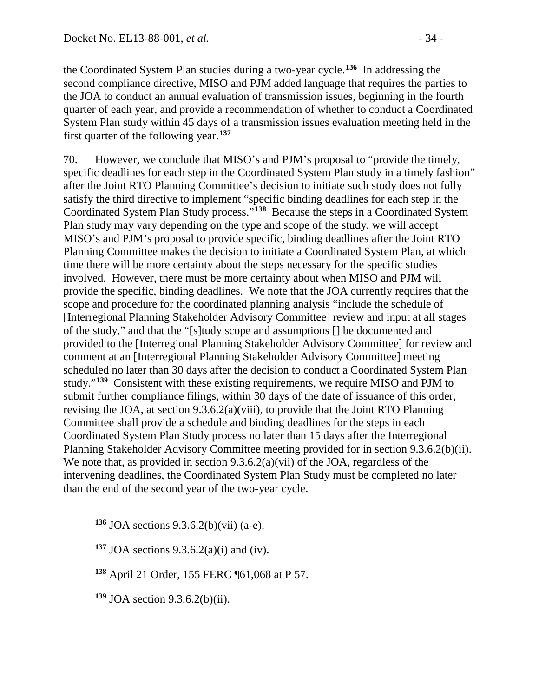the Coordinated System Plan studies during a two-year cycle.**[136](#page-33-0)** In addressing the second compliance directive, MISO and PJM added language that requires the parties to the JOA to conduct an annual evaluation of transmission issues, beginning in the fourth quarter of each year, and provide a recommendation of whether to conduct a Coordinated System Plan study within 45 days of a transmission issues evaluation meeting held in the first quarter of the following year.**[137](#page-33-1)**

70. However, we conclude that MISO's and PJM's proposal to "provide the timely, specific deadlines for each step in the Coordinated System Plan study in a timely fashion" after the Joint RTO Planning Committee's decision to initiate such study does not fully satisfy the third directive to implement "specific binding deadlines for each step in the Coordinated System Plan Study process."**[138](#page-33-2)** Because the steps in a Coordinated System Plan study may vary depending on the type and scope of the study, we will accept MISO's and PJM's proposal to provide specific, binding deadlines after the Joint RTO Planning Committee makes the decision to initiate a Coordinated System Plan, at which time there will be more certainty about the steps necessary for the specific studies involved. However, there must be more certainty about when MISO and PJM will provide the specific, binding deadlines. We note that the JOA currently requires that the scope and procedure for the coordinated planning analysis "include the schedule of [Interregional Planning Stakeholder Advisory Committee] review and input at all stages of the study," and that the "[s]tudy scope and assumptions [] be documented and provided to the [Interregional Planning Stakeholder Advisory Committee] for review and comment at an [Interregional Planning Stakeholder Advisory Committee] meeting scheduled no later than 30 days after the decision to conduct a Coordinated System Plan study."**[139](#page-33-3)** Consistent with these existing requirements, we require MISO and PJM to submit further compliance filings, within 30 days of the date of issuance of this order, revising the JOA, at section 9.3.6.2(a)(viii), to provide that the Joint RTO Planning Committee shall provide a schedule and binding deadlines for the steps in each Coordinated System Plan Study process no later than 15 days after the Interregional Planning Stakeholder Advisory Committee meeting provided for in section 9.3.6.2(b)(ii). We note that, as provided in section 9.3.6.2(a)(vii) of the JOA, regardless of the intervening deadlines, the Coordinated System Plan Study must be completed no later than the end of the second year of the two-year cycle.

**<sup>136</sup>** JOA sections 9.3.6.2(b)(vii) (a-e).

**<sup>137</sup>** JOA sections 9.3.6.2(a)(i) and (iv).

**<sup>138</sup>** April 21 Order, 155 FERC ¶61,068 at P 57.

<span id="page-33-3"></span>**<sup>139</sup>** JOA section 9.3.6.2(b)(ii).

<span id="page-33-2"></span><span id="page-33-1"></span><span id="page-33-0"></span> $\overline{a}$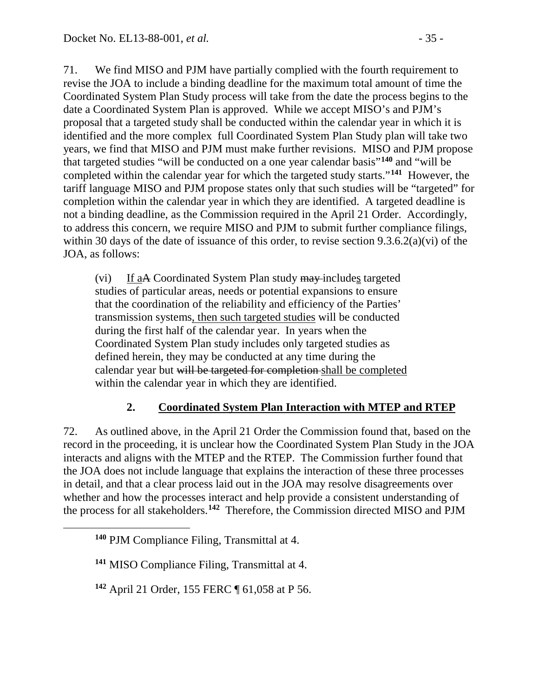71. We find MISO and PJM have partially complied with the fourth requirement to revise the JOA to include a binding deadline for the maximum total amount of time the Coordinated System Plan Study process will take from the date the process begins to the date a Coordinated System Plan is approved. While we accept MISO's and PJM's proposal that a targeted study shall be conducted within the calendar year in which it is identified and the more complex full Coordinated System Plan Study plan will take two years, we find that MISO and PJM must make further revisions. MISO and PJM propose that targeted studies "will be conducted on a one year calendar basis"**[140](#page-34-0)** and "will be completed within the calendar year for which the targeted study starts."**[141](#page-34-1)** However, the tariff language MISO and PJM propose states only that such studies will be "targeted" for completion within the calendar year in which they are identified. A targeted deadline is not a binding deadline, as the Commission required in the April 21 Order. Accordingly, to address this concern, we require MISO and PJM to submit further compliance filings, within 30 days of the date of issuance of this order, to revise section 9.3.6.2(a)(vi) of the JOA, as follows:

(vi) If aA Coordinated System Plan study may includes targeted studies of particular areas, needs or potential expansions to ensure that the coordination of the reliability and efficiency of the Parties' transmission systems, then such targeted studies will be conducted during the first half of the calendar year. In years when the Coordinated System Plan study includes only targeted studies as defined herein, they may be conducted at any time during the calendar year but will be targeted for completion-shall be completed within the calendar year in which they are identified.

## **2. Coordinated System Plan Interaction with MTEP and RTEP**

72. As outlined above, in the April 21 Order the Commission found that, based on the record in the proceeding, it is unclear how the Coordinated System Plan Study in the JOA interacts and aligns with the MTEP and the RTEP. The Commission further found that the JOA does not include language that explains the interaction of these three processes in detail, and that a clear process laid out in the JOA may resolve disagreements over whether and how the processes interact and help provide a consistent understanding of the process for all stakeholders.**[142](#page-34-2)** Therefore, the Commission directed MISO and PJM

<span id="page-34-2"></span><span id="page-34-1"></span><span id="page-34-0"></span> $\overline{a}$ 

**<sup>140</sup>** PJM Compliance Filing, Transmittal at 4.

**<sup>141</sup>** MISO Compliance Filing, Transmittal at 4.

**<sup>142</sup>** April 21 Order, 155 FERC ¶ 61,058 at P 56.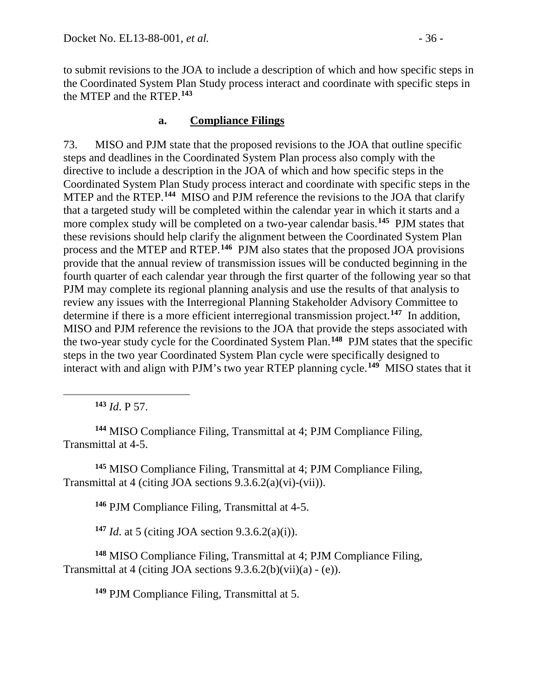to submit revisions to the JOA to include a description of which and how specific steps in the Coordinated System Plan Study process interact and coordinate with specific steps in the MTEP and the RTEP.**[143](#page-35-0)**

## **a. Compliance Filings**

73. MISO and PJM state that the proposed revisions to the JOA that outline specific steps and deadlines in the Coordinated System Plan process also comply with the directive to include a description in the JOA of which and how specific steps in the Coordinated System Plan Study process interact and coordinate with specific steps in the MTEP and the RTEP. **[144](#page-35-1)** MISO and PJM reference the revisions to the JOA that clarify that a targeted study will be completed within the calendar year in which it starts and a more complex study will be completed on a two-year calendar basis.**[145](#page-35-2)** PJM states that these revisions should help clarify the alignment between the Coordinated System Plan process and the MTEP and RTEP.**[146](#page-35-3)** PJM also states that the proposed JOA provisions provide that the annual review of transmission issues will be conducted beginning in the fourth quarter of each calendar year through the first quarter of the following year so that PJM may complete its regional planning analysis and use the results of that analysis to review any issues with the Interregional Planning Stakeholder Advisory Committee to determine if there is a more efficient interregional transmission project.**[147](#page-35-4)** In addition, MISO and PJM reference the revisions to the JOA that provide the steps associated with the two-year study cycle for the Coordinated System Plan.**[148](#page-35-5)** PJM states that the specific steps in the two year Coordinated System Plan cycle were specifically designed to interact with and align with PJM's two year RTEP planning cycle.**[149](#page-35-6)** MISO states that it

**<sup>143</sup>** *Id*. P 57.

<span id="page-35-0"></span> $\overline{a}$ 

<span id="page-35-1"></span>**<sup>144</sup>** MISO Compliance Filing, Transmittal at 4; PJM Compliance Filing, Transmittal at 4-5.

<span id="page-35-3"></span><span id="page-35-2"></span>**<sup>145</sup>** MISO Compliance Filing, Transmittal at 4; PJM Compliance Filing, Transmittal at 4 (citing JOA sections 9.3.6.2(a)(vi)-(vii)).

**<sup>146</sup>** PJM Compliance Filing, Transmittal at 4-5.

**<sup>147</sup>** *Id*. at 5 (citing JOA section 9.3.6.2(a)(i)).

<span id="page-35-6"></span><span id="page-35-5"></span><span id="page-35-4"></span>**<sup>148</sup>** MISO Compliance Filing, Transmittal at 4; PJM Compliance Filing, Transmittal at 4 (citing JOA sections  $9.3.6.2(b)(vii)(a) - (e)$ ).

**<sup>149</sup>** PJM Compliance Filing, Transmittal at 5.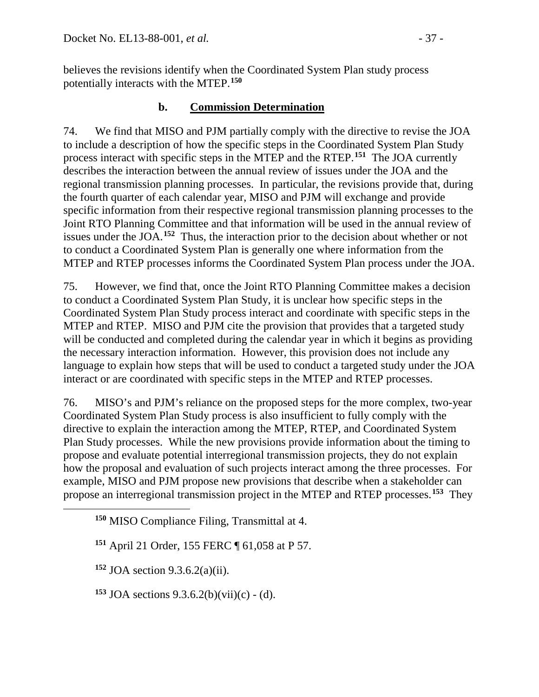believes the revisions identify when the Coordinated System Plan study process potentially interacts with the MTEP.**[150](#page-36-0)**

## **b. Commission Determination**

74. We find that MISO and PJM partially comply with the directive to revise the JOA to include a description of how the specific steps in the Coordinated System Plan Study process interact with specific steps in the MTEP and the RTEP. **[151](#page-36-1)** The JOA currently describes the interaction between the annual review of issues under the JOA and the regional transmission planning processes. In particular, the revisions provide that, during the fourth quarter of each calendar year, MISO and PJM will exchange and provide specific information from their respective regional transmission planning processes to the Joint RTO Planning Committee and that information will be used in the annual review of issues under the JOA.**[152](#page-36-2)** Thus, the interaction prior to the decision about whether or not to conduct a Coordinated System Plan is generally one where information from the MTEP and RTEP processes informs the Coordinated System Plan process under the JOA.

75. However, we find that, once the Joint RTO Planning Committee makes a decision to conduct a Coordinated System Plan Study, it is unclear how specific steps in the Coordinated System Plan Study process interact and coordinate with specific steps in the MTEP and RTEP. MISO and PJM cite the provision that provides that a targeted study will be conducted and completed during the calendar year in which it begins as providing the necessary interaction information. However, this provision does not include any language to explain how steps that will be used to conduct a targeted study under the JOA interact or are coordinated with specific steps in the MTEP and RTEP processes.

76. MISO's and PJM's reliance on the proposed steps for the more complex, two-year Coordinated System Plan Study process is also insufficient to fully comply with the directive to explain the interaction among the MTEP, RTEP, and Coordinated System Plan Study processes. While the new provisions provide information about the timing to propose and evaluate potential interregional transmission projects, they do not explain how the proposal and evaluation of such projects interact among the three processes. For example, MISO and PJM propose new provisions that describe when a stakeholder can propose an interregional transmission project in the MTEP and RTEP processes.**[153](#page-36-3)** They

**<sup>151</sup>** April 21 Order, 155 FERC ¶ 61,058 at P 57.

**<sup>152</sup>** JOA section 9.3.6.2(a)(ii).

<span id="page-36-2"></span><span id="page-36-1"></span><span id="page-36-0"></span> $\overline{a}$ 

<span id="page-36-3"></span>**<sup>153</sup>** JOA sections 9.3.6.2(b)(vii)(c) - (d).

**<sup>150</sup>** MISO Compliance Filing, Transmittal at 4.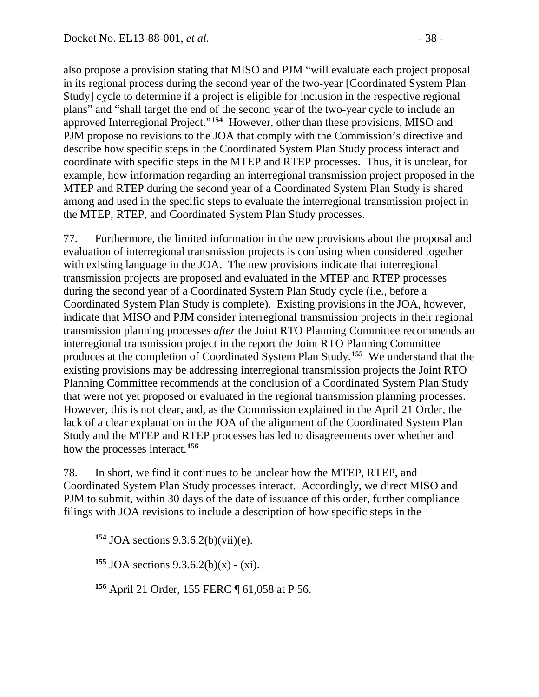also propose a provision stating that MISO and PJM "will evaluate each project proposal in its regional process during the second year of the two-year [Coordinated System Plan Study] cycle to determine if a project is eligible for inclusion in the respective regional plans" and "shall target the end of the second year of the two-year cycle to include an approved Interregional Project."**[154](#page-37-0)** However, other than these provisions, MISO and PJM propose no revisions to the JOA that comply with the Commission's directive and describe how specific steps in the Coordinated System Plan Study process interact and coordinate with specific steps in the MTEP and RTEP processes. Thus, it is unclear, for example, how information regarding an interregional transmission project proposed in the MTEP and RTEP during the second year of a Coordinated System Plan Study is shared among and used in the specific steps to evaluate the interregional transmission project in the MTEP, RTEP, and Coordinated System Plan Study processes.

77. Furthermore, the limited information in the new provisions about the proposal and evaluation of interregional transmission projects is confusing when considered together with existing language in the JOA. The new provisions indicate that interregional transmission projects are proposed and evaluated in the MTEP and RTEP processes during the second year of a Coordinated System Plan Study cycle (i.e., before a Coordinated System Plan Study is complete). Existing provisions in the JOA, however, indicate that MISO and PJM consider interregional transmission projects in their regional transmission planning processes *after* the Joint RTO Planning Committee recommends an interregional transmission project in the report the Joint RTO Planning Committee produces at the completion of Coordinated System Plan Study.**[155](#page-37-1)** We understand that the existing provisions may be addressing interregional transmission projects the Joint RTO Planning Committee recommends at the conclusion of a Coordinated System Plan Study that were not yet proposed or evaluated in the regional transmission planning processes. However, this is not clear, and, as the Commission explained in the April 21 Order, the lack of a clear explanation in the JOA of the alignment of the Coordinated System Plan Study and the MTEP and RTEP processes has led to disagreements over whether and how the processes interact.**[156](#page-37-2)**

78. In short, we find it continues to be unclear how the MTEP, RTEP, and Coordinated System Plan Study processes interact. Accordingly, we direct MISO and PJM to submit, within 30 days of the date of issuance of this order, further compliance filings with JOA revisions to include a description of how specific steps in the

**<sup>154</sup>** JOA sections 9.3.6.2(b)(vii)(e).

<span id="page-37-2"></span><span id="page-37-1"></span><span id="page-37-0"></span> $\overline{a}$ 

**<sup>155</sup>** JOA sections 9.3.6.2(b)(x) - (xi).

**<sup>156</sup>** April 21 Order, 155 FERC ¶ 61,058 at P 56.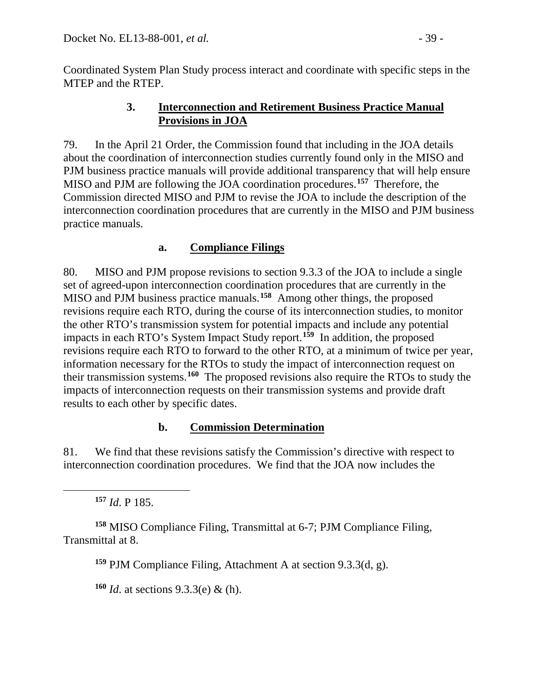Coordinated System Plan Study process interact and coordinate with specific steps in the MTEP and the RTEP.

## **3. Interconnection and Retirement Business Practice Manual Provisions in JOA**

79. In the April 21 Order, the Commission found that including in the JOA details about the coordination of interconnection studies currently found only in the MISO and PJM business practice manuals will provide additional transparency that will help ensure MISO and PJM are following the JOA coordination procedures.**[157](#page-38-0)** Therefore, the Commission directed MISO and PJM to revise the JOA to include the description of the interconnection coordination procedures that are currently in the MISO and PJM business practice manuals.

## **a. Compliance Filings**

80. MISO and PJM propose revisions to section 9.3.3 of the JOA to include a single set of agreed-upon interconnection coordination procedures that are currently in the MISO and PJM business practice manuals.**[158](#page-38-1)** Among other things, the proposed revisions require each RTO, during the course of its interconnection studies, to monitor the other RTO's transmission system for potential impacts and include any potential impacts in each RTO's System Impact Study report.**[159](#page-38-2)** In addition, the proposed revisions require each RTO to forward to the other RTO, at a minimum of twice per year, information necessary for the RTOs to study the impact of interconnection request on their transmission systems.**[160](#page-38-3)** The proposed revisions also require the RTOs to study the impacts of interconnection requests on their transmission systems and provide draft results to each other by specific dates.

## **b. Commission Determination**

81. We find that these revisions satisfy the Commission's directive with respect to interconnection coordination procedures. We find that the JOA now includes the

**<sup>157</sup>** *Id*. P 185.

<span id="page-38-0"></span> $\overline{a}$ 

<span id="page-38-3"></span><span id="page-38-2"></span><span id="page-38-1"></span>**<sup>158</sup>** MISO Compliance Filing, Transmittal at 6-7; PJM Compliance Filing, Transmittal at 8.

**<sup>159</sup>** PJM Compliance Filing, Attachment A at section 9.3.3(d, g).

**<sup>160</sup>** *Id*. at sections 9.3.3(e) & (h).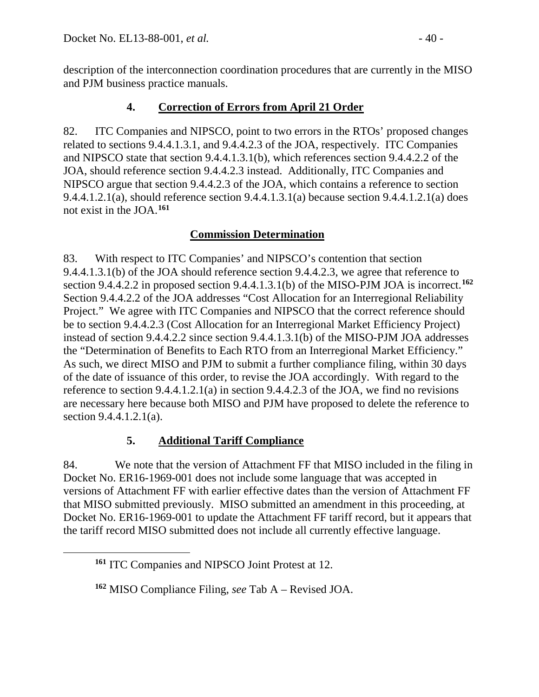description of the interconnection coordination procedures that are currently in the MISO and PJM business practice manuals.

## **4. Correction of Errors from April 21 Order**

82. ITC Companies and NIPSCO, point to two errors in the RTOs' proposed changes related to sections 9.4.4.1.3.1, and 9.4.4.2.3 of the JOA, respectively. ITC Companies and NIPSCO state that section 9.4.4.1.3.1(b), which references section 9.4.4.2.2 of the JOA, should reference section 9.4.4.2.3 instead. Additionally, ITC Companies and NIPSCO argue that section 9.4.4.2.3 of the JOA, which contains a reference to section 9.4.4.1.2.1(a), should reference section 9.4.4.1.3.1(a) because section 9.4.4.1.2.1(a) does not exist in the JOA.**[161](#page-39-0)**

## **Commission Determination**

83. With respect to ITC Companies' and NIPSCO's contention that section 9.4.4.1.3.1(b) of the JOA should reference section 9.4.4.2.3, we agree that reference to section 9.4.4.2.2 in proposed section 9.4.4.1.3.1(b) of the MISO-PJM JOA is incorrect.**[162](#page-39-1)** Section 9.4.4.2.2 of the JOA addresses "Cost Allocation for an Interregional Reliability Project." We agree with ITC Companies and NIPSCO that the correct reference should be to section 9.4.4.2.3 (Cost Allocation for an Interregional Market Efficiency Project) instead of section 9.4.4.2.2 since section 9.4.4.1.3.1(b) of the MISO-PJM JOA addresses the "Determination of Benefits to Each RTO from an Interregional Market Efficiency." As such, we direct MISO and PJM to submit a further compliance filing, within 30 days of the date of issuance of this order, to revise the JOA accordingly. With regard to the reference to section 9.4.4.1.2.1(a) in section 9.4.4.2.3 of the JOA, we find no revisions are necessary here because both MISO and PJM have proposed to delete the reference to section 9.4.4.1.2.1(a).

## **5. Additional Tariff Compliance**

84. We note that the version of Attachment FF that MISO included in the filing in Docket No. ER16-1969-001 does not include some language that was accepted in versions of Attachment FF with earlier effective dates than the version of Attachment FF that MISO submitted previously. MISO submitted an amendment in this proceeding, at Docket No. ER16-1969-001 to update the Attachment FF tariff record, but it appears that the tariff record MISO submitted does not include all currently effective language.

<span id="page-39-1"></span><span id="page-39-0"></span> $\overline{a}$ 

**<sup>161</sup>** ITC Companies and NIPSCO Joint Protest at 12.

**<sup>162</sup>** MISO Compliance Filing, *see* Tab A – Revised JOA.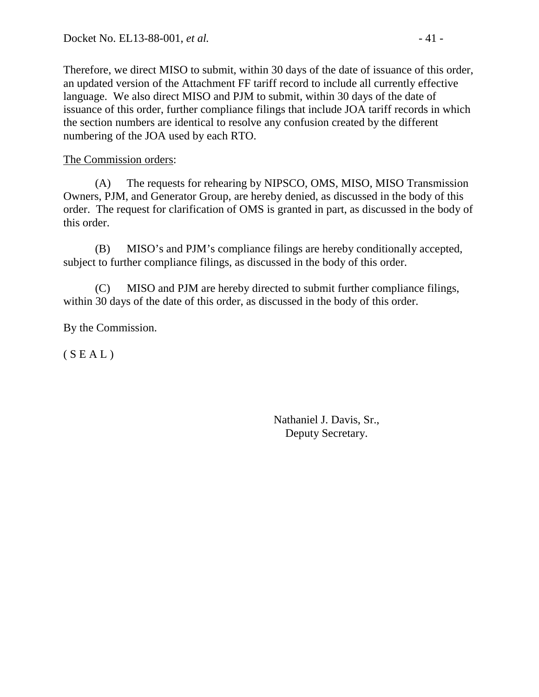Therefore, we direct MISO to submit, within 30 days of the date of issuance of this order, an updated version of the Attachment FF tariff record to include all currently effective language. We also direct MISO and PJM to submit, within 30 days of the date of issuance of this order, further compliance filings that include JOA tariff records in which the section numbers are identical to resolve any confusion created by the different numbering of the JOA used by each RTO.

The Commission orders:

(A) The requests for rehearing by NIPSCO, OMS, MISO, MISO Transmission Owners, PJM, and Generator Group, are hereby denied, as discussed in the body of this order. The request for clarification of OMS is granted in part, as discussed in the body of this order.

(B) MISO's and PJM's compliance filings are hereby conditionally accepted, subject to further compliance filings, as discussed in the body of this order.

(C) MISO and PJM are hereby directed to submit further compliance filings, within 30 days of the date of this order, as discussed in the body of this order.

By the Commission.

 $(S E A L)$ 

Nathaniel J. Davis, Sr., Deputy Secretary.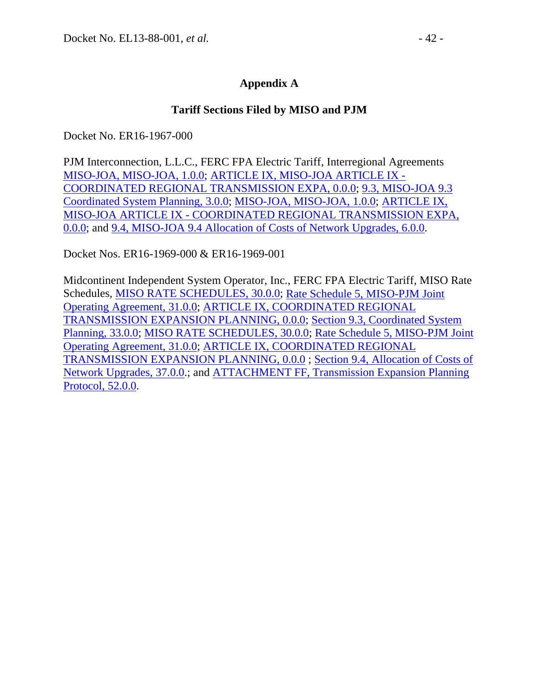### **Tariff Sections Filed by MISO and PJM**

Docket No. ER16-1967-000

PJM Interconnection, L.L.C., FERC FPA Electric Tariff, Interregional Agreements [MISO-JOA, MISO-JOA, 1.0.0;](http://etariff.ferc.gov/TariffSectionDetails.aspx?tid=1763&sid=196365) [ARTICLE IX, MISO-JOA ARTICLE IX -](http://etariff.ferc.gov/TariffSectionDetails.aspx?tid=1763&sid=68381) [COORDINATED REGIONAL TRANSMISSION EXPA, 0.0.0;](http://etariff.ferc.gov/TariffSectionDetails.aspx?tid=1763&sid=68381) [9.3, MISO-JOA 9.3](http://etariff.ferc.gov/TariffSectionDetails.aspx?tid=1763&sid=202139)  [Coordinated System Planning, 3.0.0;](http://etariff.ferc.gov/TariffSectionDetails.aspx?tid=1763&sid=202139) [MISO-JOA, MISO-JOA, 1.0.0;](http://etariff.ferc.gov/TariffSectionDetails.aspx?tid=1763&sid=196365) [ARTICLE IX,](http://etariff.ferc.gov/TariffSectionDetails.aspx?tid=1763&sid=68381)  MISO-JOA ARTICLE IX - [COORDINATED REGIONAL TRANSMISSION EXPA,](http://etariff.ferc.gov/TariffSectionDetails.aspx?tid=1763&sid=68381)  [0.0.0;](http://etariff.ferc.gov/TariffSectionDetails.aspx?tid=1763&sid=68381) and [9.4, MISO-JOA 9.4 Allocation of Costs of Network Upgrades, 6.0.0.](http://etariff.ferc.gov/TariffSectionDetails.aspx?tid=1763&sid=202138)

Docket Nos. ER16-1969-000 & ER16-1969-001

Midcontinent Independent System Operator, Inc., FERC FPA Electric Tariff, MISO Rate Schedules, [MISO RATE SCHEDULES, 30.0.0;](http://etariff.ferc.gov/TariffSectionDetails.aspx?tid=1229&sid=153097) [Rate Schedule 5, MISO-PJM Joint](http://etariff.ferc.gov/TariffSectionDetails.aspx?tid=1229&sid=196436)  [Operating Agreement, 31.0.0;](http://etariff.ferc.gov/TariffSectionDetails.aspx?tid=1229&sid=196436) [ARTICLE IX, COORDINATED REGIONAL](http://etariff.ferc.gov/TariffSectionDetails.aspx?tid=1229&sid=142867)  [TRANSMISSION EXPANSION PLANNING, 0.0.0;](http://etariff.ferc.gov/TariffSectionDetails.aspx?tid=1229&sid=142867) [Section 9.3, Coordinated System](http://etariff.ferc.gov/TariffSectionDetails.aspx?tid=1229&sid=202149)  [Planning, 33.0.0;](http://etariff.ferc.gov/TariffSectionDetails.aspx?tid=1229&sid=202149) [MISO RATE SCHEDULES, 30.0.0;](http://etariff.ferc.gov/TariffSectionDetails.aspx?tid=1229&sid=153097) [Rate Schedule 5, MISO-PJM Joint](http://etariff.ferc.gov/TariffSectionDetails.aspx?tid=1229&sid=196436)  [Operating Agreement, 31.0.0;](http://etariff.ferc.gov/TariffSectionDetails.aspx?tid=1229&sid=196436) [ARTICLE IX, COORDINATED REGIONAL](http://etariff.ferc.gov/TariffSectionDetails.aspx?tid=1229&sid=142867)  [TRANSMISSION EXPANSION PLANNING, 0.0.0](http://etariff.ferc.gov/TariffSectionDetails.aspx?tid=1229&sid=142867) ; [Section 9.4, Allocation of Costs of](http://etariff.ferc.gov/TariffSectionDetails.aspx?tid=1229&sid=202148)  [Network Upgrades, 37.0.0.](http://etariff.ferc.gov/TariffSectionDetails.aspx?tid=1229&sid=202148); and [ATTACHMENT FF, Transmission Expansion Planning](http://etariff.ferc.gov/TariffSectionDetails.aspx?tid=1162&sid=202150)  [Protocol, 52.0.0.](http://etariff.ferc.gov/TariffSectionDetails.aspx?tid=1162&sid=202150)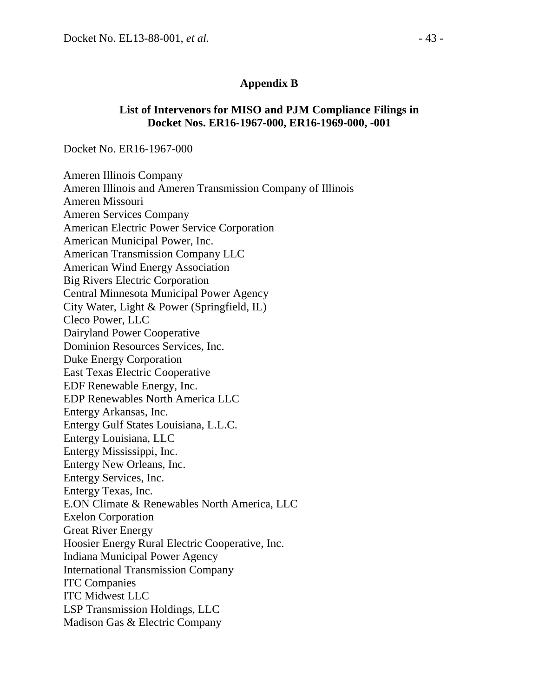### **Appendix B**

#### **List of Intervenors for MISO and PJM Compliance Filings in Docket Nos. ER16-1967-000, ER16-1969-000, -001**

#### Docket No. ER16-1967-000

Ameren Illinois Company Ameren Illinois and Ameren Transmission Company of Illinois Ameren Missouri Ameren Services Company American Electric Power Service Corporation American Municipal Power, Inc. American Transmission Company LLC American Wind Energy Association Big Rivers Electric Corporation Central Minnesota Municipal Power Agency City Water, Light & Power (Springfield, IL) Cleco Power, LLC Dairyland Power Cooperative Dominion Resources Services, Inc. Duke Energy Corporation East Texas Electric Cooperative EDF Renewable Energy, Inc. EDP Renewables North America LLC Entergy Arkansas, Inc. Entergy Gulf States Louisiana, L.L.C. Entergy Louisiana, LLC Entergy Mississippi, Inc. Entergy New Orleans, Inc. Entergy Services, Inc. Entergy Texas, Inc. E.ON Climate & Renewables North America, LLC Exelon Corporation Great River Energy Hoosier Energy Rural Electric Cooperative, Inc. Indiana Municipal Power Agency International Transmission Company ITC Companies ITC Midwest LLC LSP Transmission Holdings, LLC Madison Gas & Electric Company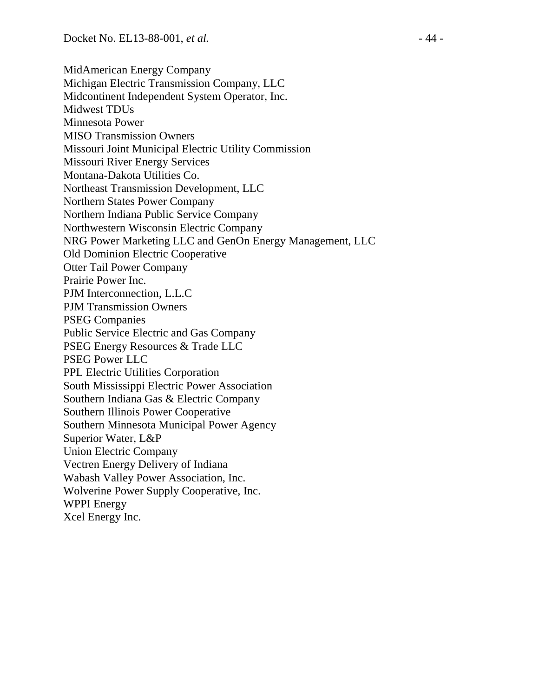MidAmerican Energy Company Michigan Electric Transmission Company, LLC Midcontinent Independent System Operator, Inc. Midwest TDUs Minnesota Power MISO Transmission Owners Missouri Joint Municipal Electric Utility Commission Missouri River Energy Services Montana-Dakota Utilities Co. Northeast Transmission Development, LLC Northern States Power Company Northern Indiana Public Service Company Northwestern Wisconsin Electric Company NRG Power Marketing LLC and GenOn Energy Management, LLC Old Dominion Electric Cooperative Otter Tail Power Company Prairie Power Inc. PJM Interconnection, L.L.C PJM Transmission Owners PSEG Companies Public Service Electric and Gas Company PSEG Energy Resources & Trade LLC PSEG Power LLC PPL Electric Utilities Corporation South Mississippi Electric Power Association Southern Indiana Gas & Electric Company Southern Illinois Power Cooperative Southern Minnesota Municipal Power Agency Superior Water, L&P Union Electric Company Vectren Energy Delivery of Indiana Wabash Valley Power Association, Inc. Wolverine Power Supply Cooperative, Inc. WPPI Energy Xcel Energy Inc.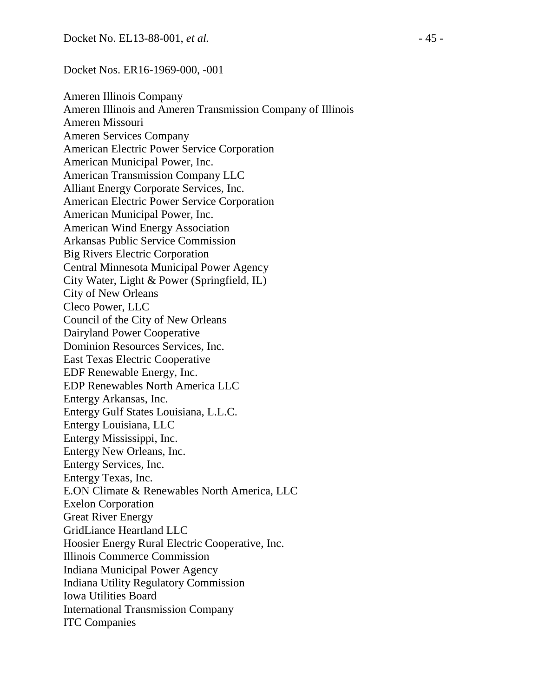#### Docket Nos. ER16-1969-000, -001

Ameren Illinois Company Ameren Illinois and Ameren Transmission Company of Illinois Ameren Missouri Ameren Services Company American Electric Power Service Corporation American Municipal Power, Inc. American Transmission Company LLC Alliant Energy Corporate Services, Inc. American Electric Power Service Corporation American Municipal Power, Inc. American Wind Energy Association Arkansas Public Service Commission Big Rivers Electric Corporation Central Minnesota Municipal Power Agency City Water, Light & Power (Springfield, IL) City of New Orleans Cleco Power, LLC Council of the City of New Orleans Dairyland Power Cooperative Dominion Resources Services, Inc. East Texas Electric Cooperative EDF Renewable Energy, Inc. EDP Renewables North America LLC Entergy Arkansas, Inc. Entergy Gulf States Louisiana, L.L.C. Entergy Louisiana, LLC Entergy Mississippi, Inc. Entergy New Orleans, Inc. Entergy Services, Inc. Entergy Texas, Inc. E.ON Climate & Renewables North America, LLC Exelon Corporation Great River Energy GridLiance Heartland LLC Hoosier Energy Rural Electric Cooperative, Inc. Illinois Commerce Commission Indiana Municipal Power Agency Indiana Utility Regulatory Commission Iowa Utilities Board International Transmission Company ITC Companies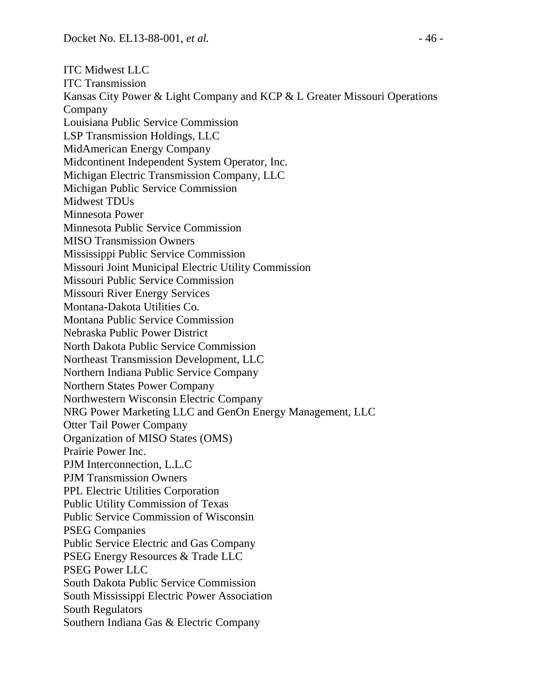ITC Midwest LLC ITC Transmission Kansas City Power & Light Company and KCP & L Greater Missouri Operations Company Louisiana Public Service Commission LSP Transmission Holdings, LLC MidAmerican Energy Company Midcontinent Independent System Operator, Inc. Michigan Electric Transmission Company, LLC Michigan Public Service Commission Midwest TDUs Minnesota Power Minnesota Public Service Commission MISO Transmission Owners Mississippi Public Service Commission Missouri Joint Municipal Electric Utility Commission Missouri Public Service Commission Missouri River Energy Services Montana-Dakota Utilities Co. Montana Public Service Commission Nebraska Public Power District North Dakota Public Service Commission Northeast Transmission Development, LLC Northern Indiana Public Service Company Northern States Power Company Northwestern Wisconsin Electric Company NRG Power Marketing LLC and GenOn Energy Management, LLC Otter Tail Power Company Organization of MISO States (OMS) Prairie Power Inc. PJM Interconnection, L.L.C PJM Transmission Owners PPL Electric Utilities Corporation Public Utility Commission of Texas Public Service Commission of Wisconsin PSEG Companies Public Service Electric and Gas Company PSEG Energy Resources & Trade LLC PSEG Power LLC South Dakota Public Service Commission South Mississippi Electric Power Association South Regulators Southern Indiana Gas & Electric Company